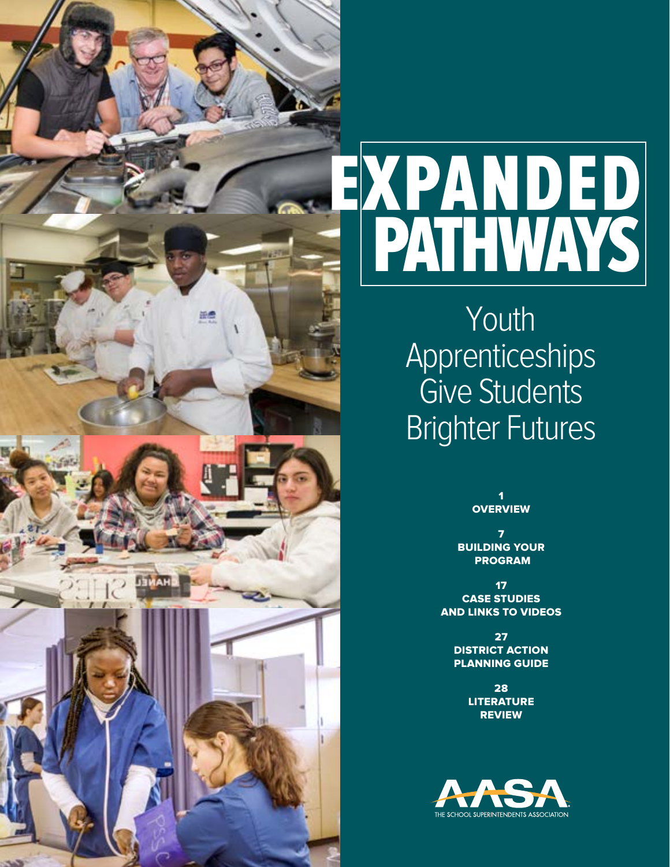



Youth Apprenticeships Give Students Brighter Futures

> 1 **OVERVIEW**

7 BUILDING YOUR PROGRAM

17 CASE STUDIES AND LINKS TO VIDEOS

> 27 DISTRICT ACTION PLANNING GUIDE

> > 28 LITERATURE REVIEW

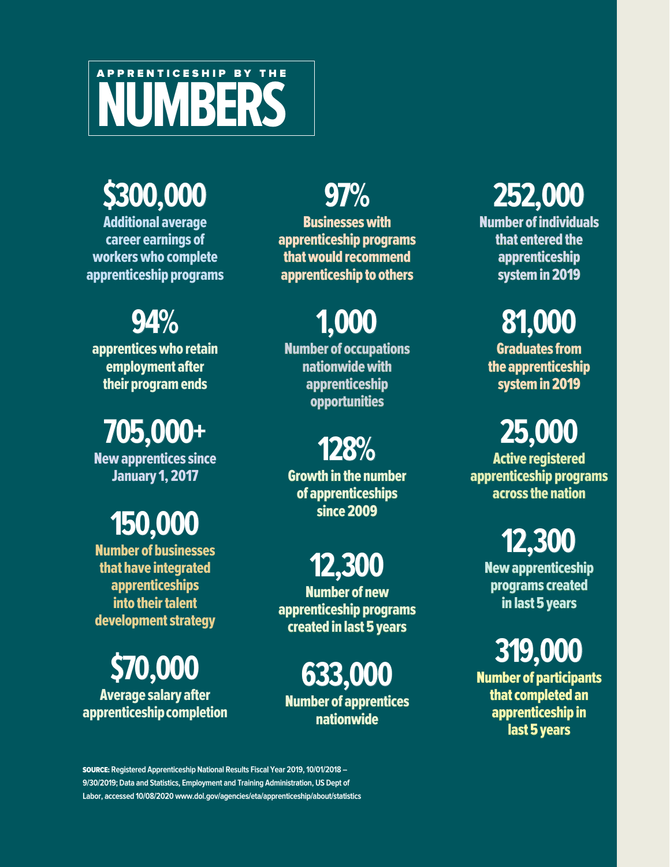# **A P P R E N T I C E S H I P B Y T H E NUMBERS**

# **\$300,000**

Additional average career earnings of workers who complete apprenticeship programs

# **94%**

apprentices who retain employment after their program ends

# **705,000+**

New apprentices since January 1, 2017

# **150,000**

Number of businesses that have integrated **apprenticeships** into their talent development strategy

**\$70,000**  Average salary after apprenticeship completion

# **97%**

Businesses with apprenticeship programs that would recommend apprenticeship to others

# **1,000**

Number of occupations nationwide with apprenticeship opportunities

# **128%**

Growth in the number of apprenticeships since 2009

# **12,300**

Number of new apprenticeship programs created in last 5 years

**633,000** Number of apprentices nationwide

# **252,000**

Number of individuals that entered the apprenticeship system in 2019

# **81,000**

Graduates from the apprenticeship system in 2019

# **25,000**

Active registered apprenticeship programs across the nation

# **12,300**

New apprenticeship programs created in last 5 years

# **319,000**

Number of participants that completed an apprenticeship in last 5 years

SOURCE: **Registered Apprenticeship National Results Fiscal Year 2019, 10/01/2018 – 9/30/2019; Data and Statistics, Employment and Training Administration, US Dept of Labor, accessed 10/08/2020 [www.dol.gov/agencies/eta/apprenticeship/about/statistics](http://www.dol.gov/agencies/eta/apprenticeship/about/statistics)**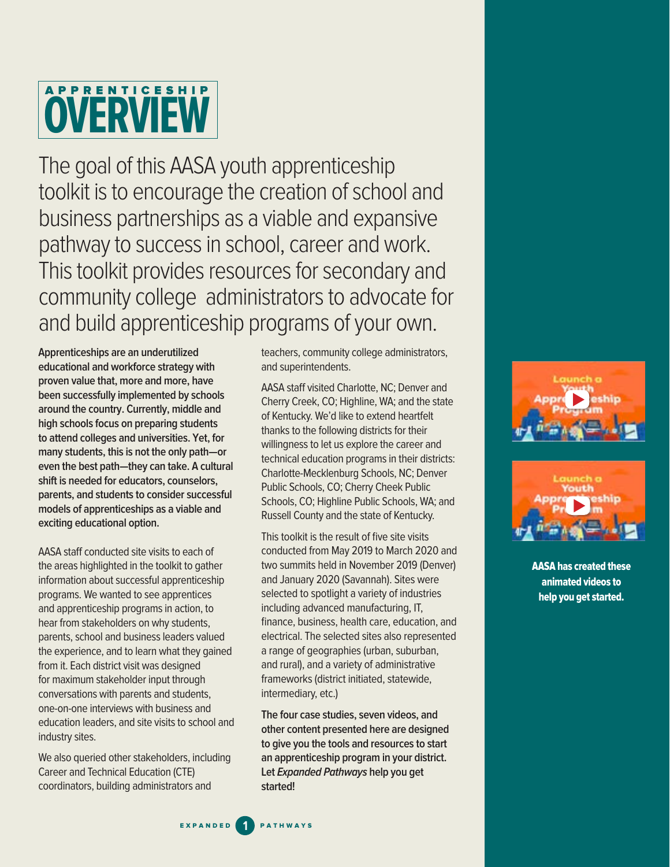

The goal of this AASA youth apprenticeship toolkit is to encourage the creation of school and business partnerships as a viable and expansive pathway to success in school, career and work. This toolkit provides resources for secondary and community college administrators to advocate for and build apprenticeship programs of your own.

**Apprenticeships are an underutilized educational and workforce strategy with proven value that, more and more, have been successfully implemented by schools around the country. Currently, middle and high schools focus on preparing students to attend colleges and universities. Yet, for many students, this is not the only path—or even the best path—they can take. A cultural shift is needed for educators, counselors, parents, and students to consider successful models of apprenticeships as a viable and exciting educational option.** 

AASA staff conducted site visits to each of the areas highlighted in the toolkit to gather information about successful apprenticeship programs. We wanted to see apprentices and apprenticeship programs in action, to hear from stakeholders on why students, parents, school and business leaders valued the experience, and to learn what they gained from it. Each district visit was designed for maximum stakeholder input through conversations with parents and students, one-on-one interviews with business and education leaders, and site visits to school and industry sites.

We also queried other stakeholders, including Career and Technical Education (CTE) coordinators, building administrators and

teachers, community college administrators, and superintendents.

AASA staff visited Charlotte, NC; Denver and Cherry Creek, CO; Highline, WA; and the state of Kentucky. We'd like to extend heartfelt thanks to the following districts for their willingness to let us explore the career and technical education programs in their districts: Charlotte-Mecklenburg Schools, NC; Denver Public Schools, CO; Cherry Cheek Public Schools, CO; Highline Public Schools, WA; and Russell County and the state of Kentucky.

This toolkit is the result of five site visits conducted from May 2019 to March 2020 and two summits held in November 2019 (Denver) and January 2020 (Savannah). Sites were selected to spotlight a variety of industries including advanced manufacturing, IT, finance, business, health care, education, and electrical. The selected sites also represented a range of geographies (urban, suburban, and rural), and a variety of administrative frameworks (district initiated, statewide, intermediary, etc.)

**The four case studies, seven videos, and other content presented here are designed to give you the tools and resources to start an apprenticeship program in your district. Let Expanded Pathways help you get started!** 





AASA has created these animated videos to help you get started.

EXPANDED **1** PATHWAYS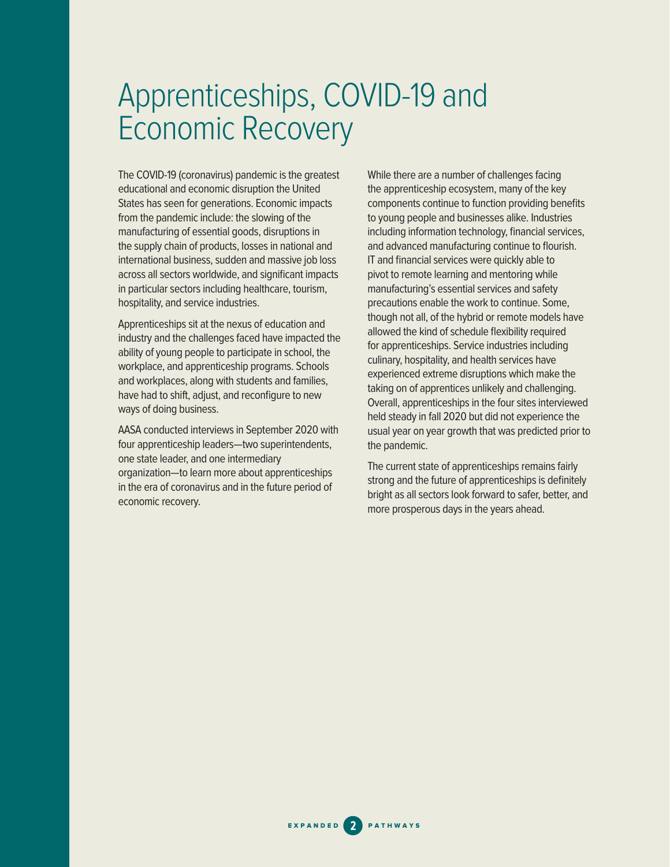# Apprenticeships, COVID-19 and Economic Recovery

The COVID-19 (coronavirus) pandemic is the greatest educational and economic disruption the United States has seen for generations. Economic impacts from the pandemic include: the slowing of the manufacturing of essential goods, disruptions in the supply chain of products, losses in national and international business, sudden and massive job loss across all sectors worldwide, and significant impacts in particular sectors including healthcare, tourism, hospitality, and service industries.

Apprenticeships sit at the nexus of education and industry and the challenges faced have impacted the ability of young people to participate in school, the workplace, and apprenticeship programs. Schools and workplaces, along with students and families, have had to shift, adjust, and reconfigure to new ways of doing business.

AASA conducted interviews in September 2020 with four apprenticeship leaders—two superintendents, one state leader, and one intermediary organization—to learn more about apprenticeships in the era of coronavirus and in the future period of economic recovery.

While there are a number of challenges facing the apprenticeship ecosystem, many of the key components continue to function providing benefits to young people and businesses alike. Industries including information technology, financial services, and advanced manufacturing continue to flourish. IT and financial services were quickly able to pivot to remote learning and mentoring while manufacturing's essential services and safety precautions enable the work to continue. Some, though not all, of the hybrid or remote models have allowed the kind of schedule flexibility required for apprenticeships. Service industries including culinary, hospitality, and health services have experienced extreme disruptions which make the taking on of apprentices unlikely and challenging. Overall, apprenticeships in the four sites interviewed held steady in fall 2020 but did not experience the usual year on year growth that was predicted prior to the pandemic.

The current state of apprenticeships remains fairly strong and the future of apprenticeships is definitely bright as all sectors look forward to safer, better, and more prosperous days in the years ahead.

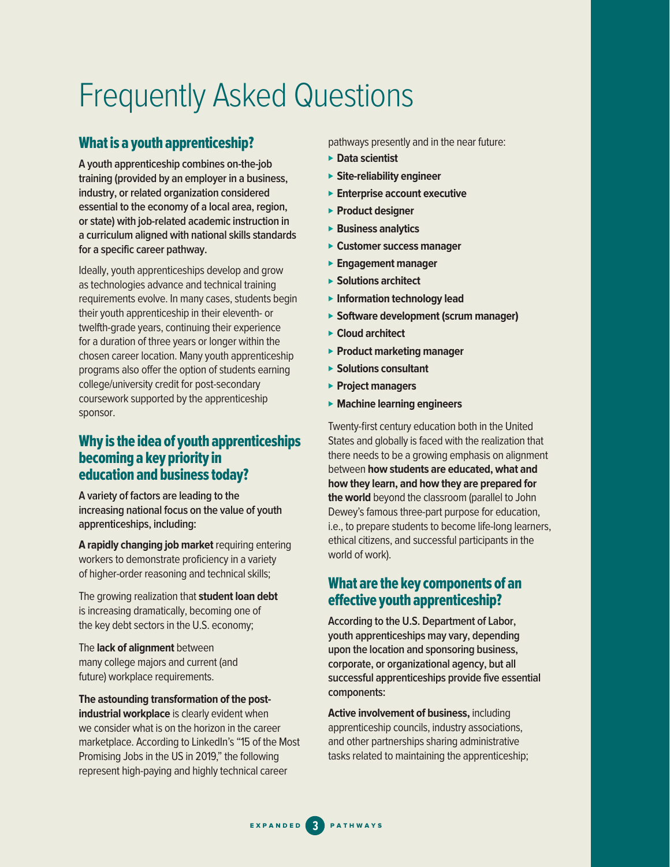# Frequently Asked Questions

### What is a youth apprenticeship?

**A youth apprenticeship combines on-the-job training (provided by an employer in a business, industry, or related organization considered essential to the economy of a local area, region, or state) with job-related academic instruction in a curriculum aligned with national skills standards for a specific career pathway.** 

Ideally, youth apprenticeships develop and grow as technologies advance and technical training requirements evolve. In many cases, students begin their youth apprenticeship in their eleventh- or twelfth-grade years, continuing their experience for a duration of three years or longer within the chosen career location. Many youth apprenticeship programs also offer the option of students earning college/university credit for post-secondary coursework supported by the apprenticeship sponsor.

#### Why is the idea of youth apprenticeships becoming a key priority in education and business today?

**A variety of factors are leading to the increasing national focus on the value of youth apprenticeships, including:** 

**A rapidly changing job market** requiring entering workers to demonstrate proficiency in a variety of higher-order reasoning and technical skills;

The growing realization that **student loan debt**  is increasing dramatically, becoming one of the key debt sectors in the U.S. economy;

The **lack of alignment** between many college majors and current (and future) workplace requirements.

#### **The astounding transformation of the postindustrial workplace** is clearly evident when we consider what is on the horizon in the career marketplace. According to LinkedIn's "15 of the Most Promising Jobs in the US in 2019," the following represent high-paying and highly technical career

pathways presently and in the near future:

- ⊲ **Data scientist**
- ⊲ **Site-reliability engineer**
- ⊲ **Enterprise account executive**
- ⊲ **Product designer**
- ⊲ **Business analytics**
- ⊲ **Customer success manager**
- ⊲ **Engagement manager**
- ⊲ **Solutions architect**
- ⊲ **Information technology lead**
- ⊲ **Software development (scrum manager)**
- ⊲ **Cloud architect**
- ⊲ **Product marketing manager**
- ⊲ **Solutions consultant**
- ⊲ **Project managers**
- ⊲ **Machine learning engineers**

Twenty-first century education both in the United States and globally is faced with the realization that there needs to be a growing emphasis on alignment between **how students are educated, what and how they learn, and how they are prepared for the world** beyond the classroom (parallel to John Dewey's famous three-part purpose for education, i.e., to prepare students to become life-long learners, ethical citizens, and successful participants in the world of work).

### What are the key components of an effective youth apprenticeship?

**According to the U.S. Department of Labor, youth apprenticeships may vary, depending upon the location and sponsoring business, corporate, or organizational agency, but all successful apprenticeships provide five essential components:**

**Active involvement of business,** including apprenticeship councils, industry associations, and other partnerships sharing administrative tasks related to maintaining the apprenticeship;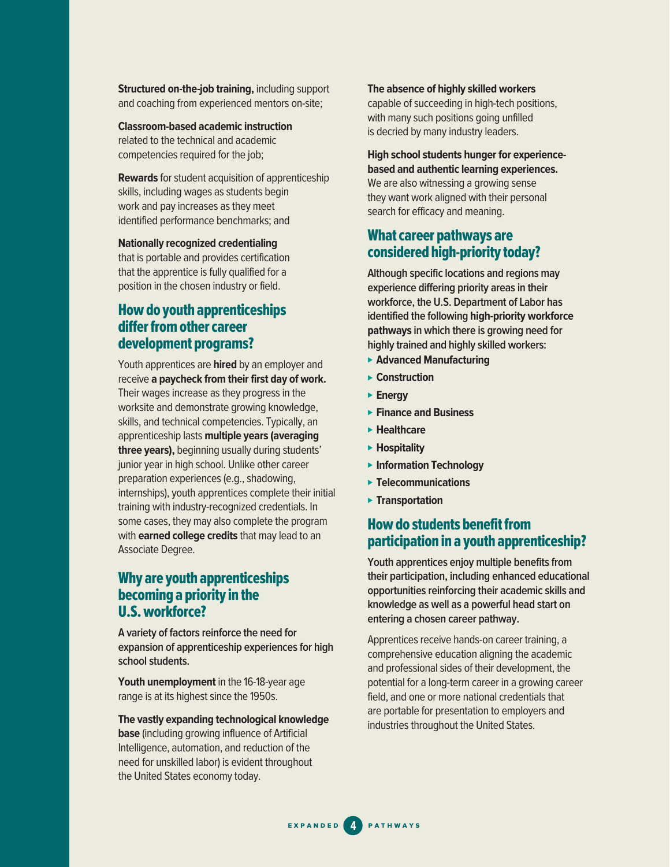**Structured on-the-job training,** including support and coaching from experienced mentors on-site;

**Classroom-based academic instruction**  related to the technical and academic competencies required for the job;

**Rewards** for student acquisition of apprenticeship skills, including wages as students begin work and pay increases as they meet identified performance benchmarks; and

#### **Nationally recognized credentialing**

that is portable and provides certification that the apprentice is fully qualified for a position in the chosen industry or field.

### How do youth apprenticeships differ from other career development programs?

Youth apprentices are **hired** by an employer and receive **a paycheck from their first day of work.**  Their wages increase as they progress in the worksite and demonstrate growing knowledge, skills, and technical competencies. Typically, an apprenticeship lasts **multiple years (averaging three years),** beginning usually during students' junior year in high school. Unlike other career preparation experiences (e.g., shadowing, internships), youth apprentices complete their initial training with industry-recognized credentials. In some cases, they may also complete the program with **earned college credits** that may lead to an Associate Degree.

#### Why are youth apprenticeships becoming a priority in the U.S. workforce?

**A variety of factors reinforce the need for expansion of apprenticeship experiences for high school students.** 

**Youth unemployment** in the 16-18-year age range is at its highest since the 1950s.

**The vastly expanding technological knowledge base** (including growing influence of Artificial Intelligence, automation, and reduction of the need for unskilled labor) is evident throughout the United States economy today.

#### **The absence of highly skilled workers**

capable of succeeding in high-tech positions, with many such positions going unfilled is decried by many industry leaders.

**High school students hunger for experiencebased and authentic learning experiences.**  We are also witnessing a growing sense they want work aligned with their personal search for efficacy and meaning.

#### What career pathways are considered high-priority today?

**Although specific locations and regions may experience differing priority areas in their workforce, the U.S. Department of Labor has identified the following high-priority workforce pathways in which there is growing need for highly trained and highly skilled workers:** 

- ⊲ **Advanced Manufacturing**
- ⊲ **Construction**
- ⊲ **Energy**
- ⊲ **Finance and Business**
- ⊲ **Healthcare**
- ⊲ **Hospitality**
- ⊲ **Information Technology**
- ⊲ **Telecommunications**
- ⊲ **Transportation**

#### How do students benefit from participation in a youth apprenticeship?

**Youth apprentices enjoy multiple benefits from their participation, including enhanced educational opportunities reinforcing their academic skills and knowledge as well as a powerful head start on entering a chosen career pathway.** 

Apprentices receive hands-on career training, a comprehensive education aligning the academic and professional sides of their development, the potential for a long-term career in a growing career field, and one or more national credentials that are portable for presentation to employers and industries throughout the United States.

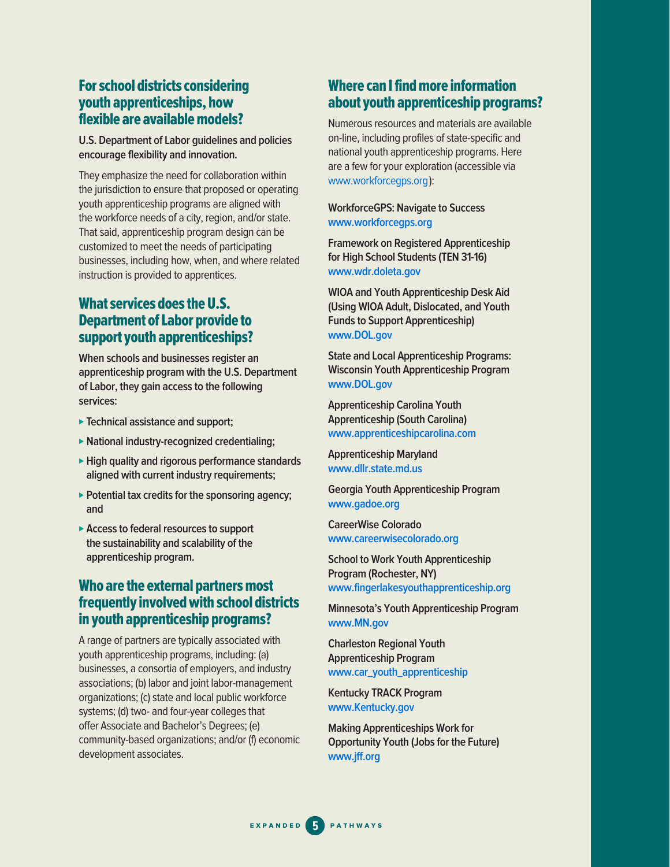#### For school districts considering youth apprenticeships, how flexible are available models?

#### **U.S. Department of Labor guidelines and policies encourage flexibility and innovation.**

They emphasize the need for collaboration within the jurisdiction to ensure that proposed or operating youth apprenticeship programs are aligned with the workforce needs of a city, region, and/or state. That said, apprenticeship program design can be customized to meet the needs of participating businesses, including how, when, and where related instruction is provided to apprentices.

### What services does the U.S. Department of Labor provide to support youth apprenticeships?

**When schools and businesses register an apprenticeship program with the U.S. Department of Labor, they gain access to the following services:**

- ⊲ **Technical assistance and support;**
- ⊲ **National industry-recognized credentialing;**
- ► High quality and rigorous performance standards **aligned with current industry requirements;**
- ⊲ **Potential tax credits for the sponsoring agency; and**
- ⊲ **Access to federal resources to support the sustainability and scalability of the apprenticeship program.**

### Who are the external partners most frequently involved with school districts in youth apprenticeship programs?

A range of partners are typically associated with youth apprenticeship programs, including: (a) businesses, a consortia of employers, and industry associations; (b) labor and joint labor-management organizations; (c) state and local public workforce systems; (d) two- and four-year colleges that offer Associate and Bachelor's Degrees; (e) community-based organizations; and/or (f) economic development associates.

### Where can I find more information about youth apprenticeship programs?

Numerous resources and materials are available on-line, including profiles of state-specific and national youth apprenticeship programs. Here are a few for your exploration (accessible via [www.workforcegps.org](http://www.workforcegps.org)):

#### **WorkforceGPS: Navigate to Success [www.workforcegps](http://www.workforcegps.org).org**

**Framework on Registered Apprenticeship for High School Students (TEN 31-16) [www.wdr.doleta.gov](http://www.wdr.doleta.gov)**

**WIOA and Youth Apprenticeship Desk Aid (Using WIOA Adult, Dislocated, and Youth Funds to Support Apprenticeship) [www.DOL.gov](http://www.DOL.gov)**

**State and Local Apprenticeship Programs: Wisconsin Youth Apprenticeship Program [www.DOL.gov](http://www.DOL.gov)**

**Apprenticeship Carolina Youth Apprenticeship (South Carolina) [www.apprenticeshipcarolina.com](http://www.apprenticeshipcarolina.com)**

**Apprenticeship Maryland [www.dllr.state.md.us](http://www.dllr.state.md.us)**

**Georgia Youth Apprenticeship Program [www.gadoe.org](http://www.gadoe.org)**

**CareerWise Colorado [www.careerwisecolorado.org](http://www.careerwisecolorado.org)**

**School to Work Youth Apprenticeship Program (Rochester, NY) [www.fingerlakesyouthapprenticeship.org](http://www.fingerlakesyouthapprenticeship.org)**

**Minnesota's Youth Apprenticeship Program [www.MN.gov](http://www.MN.gov)**

**Charleston Regional Youth Apprenticeship Program www.car\_youth\_apprenticeship**

**Kentucky TRACK Program [www.Kentucky.gov](http://www.Kentucky.gov)**

**Making Apprenticeships Work for Opportunity Youth (Jobs for the Future) [www.jff.org](http://www.jff.org)**

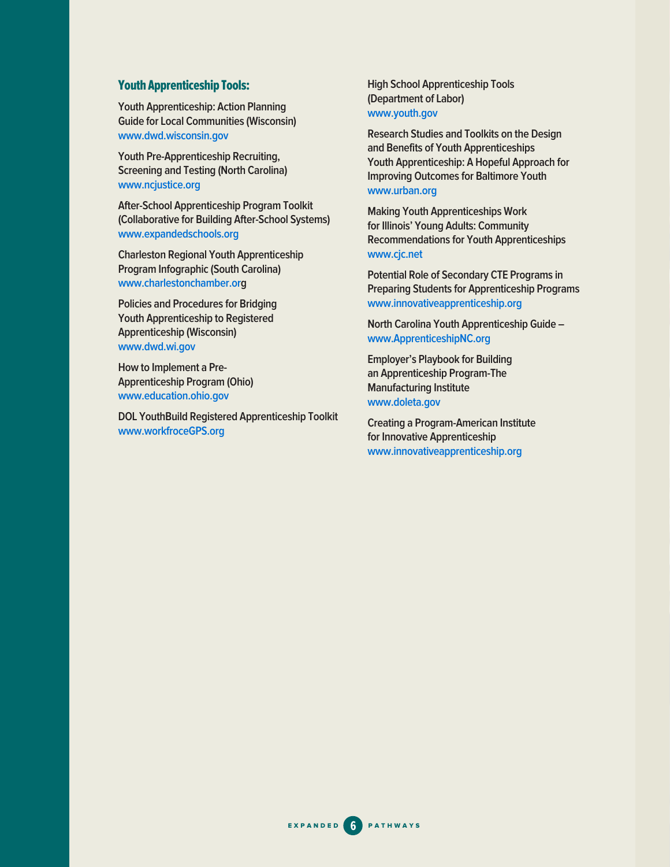#### Youth Apprenticeship Tools:

**Youth Apprenticeship: Action Planning Guide for Local Communities (Wisconsin) [www.dwd.wisconsin.gov](http://www.dwd.wisconsin.gov)**

**Youth Pre-Apprenticeship Recruiting, Screening and Testing (North Carolina) [www.ncjustice.org](http://www.ncjustice.org)**

**After-School Apprenticeship Program Toolkit (Collaborative for Building After-School Systems) [www.expandedschools.org](https://www.expandedschools.org)**

**Charleston Regional Youth Apprenticeship Program Infographic (South Carolina) [www.charlestonchamber.org](http://www.charlestonchamber.org)**

**Policies and Procedures for Bridging Youth Apprenticeship to Registered Apprenticeship (Wisconsin) [www.dwd.wi.gov](http://www.dwd.wi.gov)**

**How to Implement a Pre-Apprenticeship Program (Ohio) [www.education.ohio.gov](http://www.education.ohio.gov)**

**DOL YouthBuild Registered Apprenticeship Toolkit [www.workfroceGPS.org](https://www.workforceGPS.org)**

**High School Apprenticeship Tools (Department of Labor) [www.youth.gov](http://www.youth.gov)**

**Research Studies and Toolkits on the Design and Benefits of Youth Apprenticeships Youth Apprenticeship: A Hopeful Approach for Improving Outcomes for Baltimore Youth [www.urban.org](http://www.urban.org)**

**Making Youth Apprenticeships Work for Illinois' Young Adults: Community Recommendations for Youth Apprenticeships [www.cjc.net](http://www.cjc.net)**

**Potential Role of Secondary CTE Programs in Preparing Students for Apprenticeship Programs [www.innovativeapprenticeship.org](https://innovativeapprenticeship.org/)**

**North Carolina Youth Apprenticeship Guide – [www.ApprenticeshipNC.org](http://www.ApprenticeshipNC.org)**

**Employer's Playbook for Building an Apprenticeship Program-The Manufacturing Institute [www.doleta.gov](http://www.doleta.gov)**

**Creating a Program-American Institute for Innovative Apprenticeship [www.innovativeapprenticeship.org](https://innovativeapprenticeship.org/)**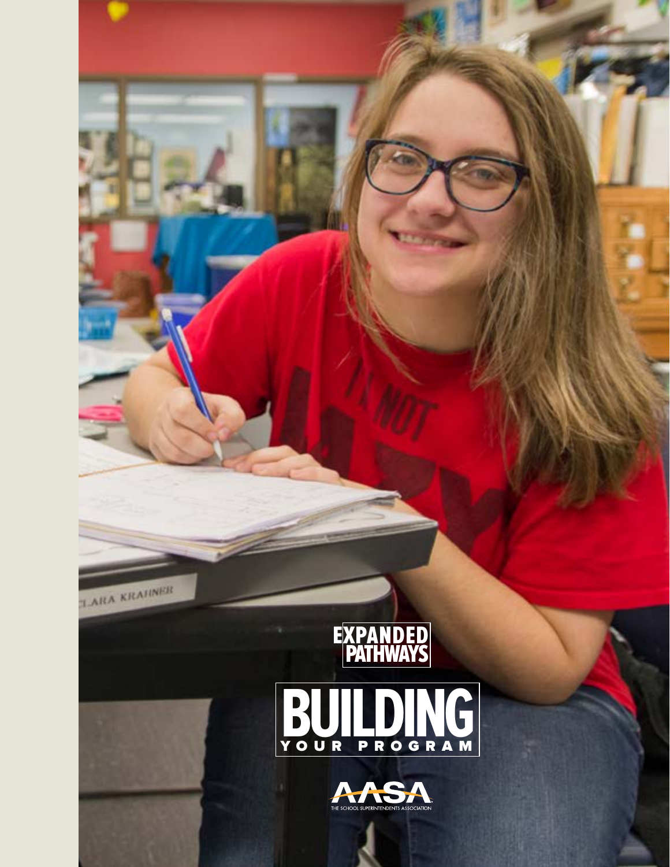

TARA KRAHNER

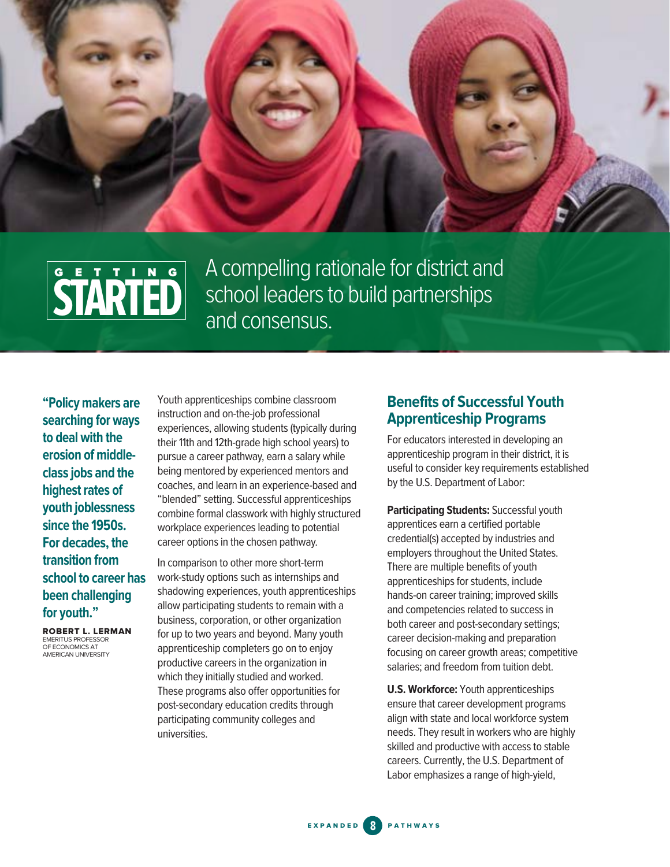

GETTING

**STARTED** A compelling rationale for district and<br> **STARTED** school leaders to build partnerships<br>
and consensus. school leaders to build partnerships and consensus.

**"Policy makers are searching for ways to deal with the erosion of middleclass jobs and the highest rates of youth joblessness since the 1950s. For decades, the transition from school to career has been challenging for youth."**

ROBERT L. LERMAN EMERITUS PROFESSOR OF ECONOMICS AT<br>AMERICAN UNIVERSITY

Youth apprenticeships combine classroom instruction and on-the-job professional experiences, allowing students (typically during their 11th and 12th-grade high school years) to pursue a career pathway, earn a salary while being mentored by experienced mentors and coaches, and learn in an experience-based and "blended" setting. Successful apprenticeships combine formal classwork with highly structured workplace experiences leading to potential career options in the chosen pathway.

In comparison to other more short-term work-study options such as internships and shadowing experiences, youth apprenticeships allow participating students to remain with a business, corporation, or other organization for up to two years and beyond. Many youth apprenticeship completers go on to enjoy productive careers in the organization in which they initially studied and worked. These programs also offer opportunities for post-secondary education credits through participating community colleges and universities.

#### **Benefits of Successful Youth Apprenticeship Programs**

For educators interested in developing an apprenticeship program in their district, it is useful to consider key requirements established by the U.S. Department of Labor:

**Participating Students:** Successful youth apprentices earn a certified portable credential(s) accepted by industries and employers throughout the United States. There are multiple benefits of youth apprenticeships for students, include hands-on career training; improved skills and competencies related to success in both career and post-secondary settings; career decision-making and preparation focusing on career growth areas; competitive salaries; and freedom from tuition debt.

**U.S. Workforce:** Youth apprenticeships ensure that career development programs align with state and local workforce system needs. They result in workers who are highly skilled and productive with access to stable careers. Currently, the U.S. Department of Labor emphasizes a range of high-yield,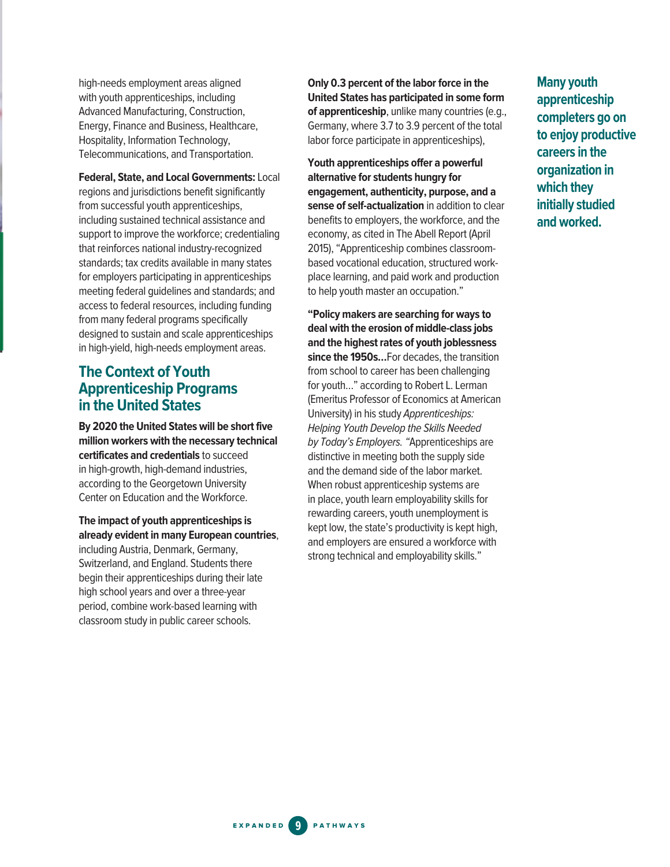high-needs employment areas aligned with youth apprenticeships, including Advanced Manufacturing, Construction, Energy, Finance and Business, Healthcare, Hospitality, Information Technology, Telecommunications, and Transportation.

**Federal, State, and Local Governments:** Local regions and jurisdictions benefit significantly from successful youth apprenticeships, including sustained technical assistance and support to improve the workforce; credentialing that reinforces national industry-recognized standards; tax credits available in many states for employers participating in apprenticeships meeting federal guidelines and standards; and access to federal resources, including funding from many federal programs specifically designed to sustain and scale apprenticeships in high-yield, high-needs employment areas.

### **The Context of Youth Apprenticeship Programs in the United States**

**By 2020 the United States will be short five million workers with the necessary technical certificates and credentials** to succeed in high-growth, high-demand industries, according to the Georgetown University Center on Education and the Workforce.

**The impact of youth apprenticeships is already evident in many European countries**,

including Austria, Denmark, Germany, Switzerland, and England. Students there begin their apprenticeships during their late high school years and over a three-year period, combine work-based learning with classroom study in public career schools.

**Only 0.3 percent of the labor force in the United States has participated in some form of apprenticeship**, unlike many countries (e.g., Germany, where 3.7 to 3.9 percent of the total labor force participate in apprenticeships),

**Youth apprenticeships offer a powerful alternative for students hungry for engagement, authenticity, purpose, and a sense of self-actualization** in addition to clear benefits to employers, the workforce, and the economy, as cited in The Abell Report (April 2015), "Apprenticeship combines classroombased vocational education, structured workplace learning, and paid work and production to help youth master an occupation."

**"Policy makers are searching for ways to deal with the erosion of middle-class jobs and the highest rates of youth joblessness since the 1950s…**For decades, the transition from school to career has been challenging for youth…" according to Robert L. Lerman (Emeritus Professor of Economics at American University) in his study Apprenticeships: Helping Youth Develop the Skills Needed by Today's Employers. "Apprenticeships are distinctive in meeting both the supply side and the demand side of the labor market. When robust apprenticeship systems are in place, youth learn employability skills for rewarding careers, youth unemployment is kept low, the state's productivity is kept high, and employers are ensured a workforce with strong technical and employability skills."

**Many youth apprenticeship completers go on to enjoy productive careers in the organization in which they initially studied and worked.**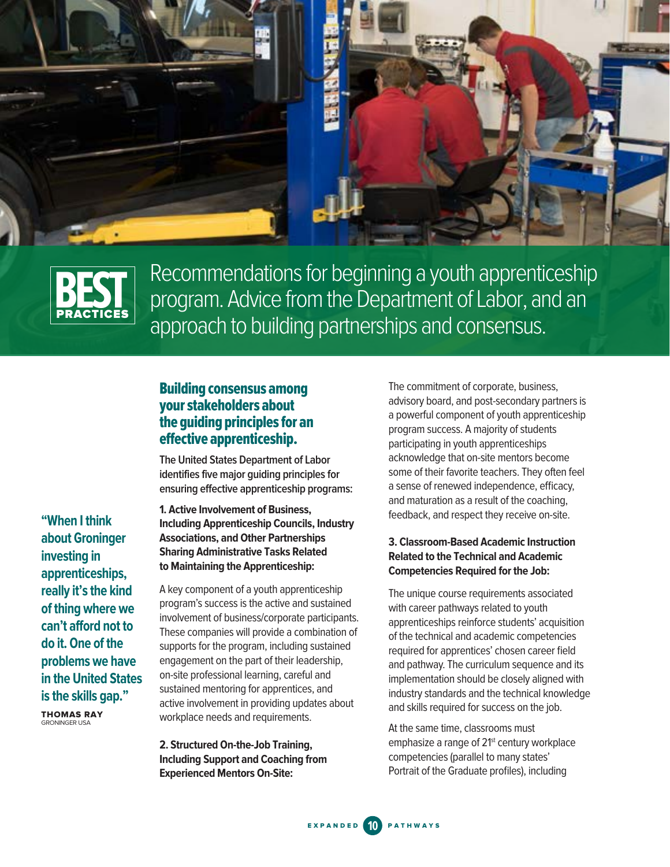



Recommendations for beginning a youth apprenticeship program. Advice from the Department of Labor, and an approach to building partnerships and consensus.

#### Building consensus among your stakeholders about the guiding principles for an effective apprenticeship.

**The United States Department of Labor identifies five major guiding principles for ensuring effective apprenticeship programs:** 

**"When I think about Groninger investing in apprenticeships, really it's the kind of thing where we can't afford not to do it. One of the problems we have in the United States is the skills gap."** THOMAS RAY GRONINGER USA

**1. Active Involvement of Business, Including Apprenticeship Councils, Industry Associations, and Other Partnerships Sharing Administrative Tasks Related to Maintaining the Apprenticeship:** 

A key component of a youth apprenticeship program's success is the active and sustained involvement of business/corporate participants. These companies will provide a combination of supports for the program, including sustained engagement on the part of their leadership, on-site professional learning, careful and sustained mentoring for apprentices, and active involvement in providing updates about workplace needs and requirements.

**2. Structured On-the-Job Training, Including Support and Coaching from Experienced Mentors On-Site:**

The commitment of corporate, business, advisory board, and post-secondary partners is a powerful component of youth apprenticeship program success. A majority of students participating in youth apprenticeships acknowledge that on-site mentors become some of their favorite teachers. They often feel a sense of renewed independence, efficacy, and maturation as a result of the coaching, feedback, and respect they receive on-site.

#### **3. Classroom-Based Academic Instruction Related to the Technical and Academic Competencies Required for the Job:**

The unique course requirements associated with career pathways related to youth apprenticeships reinforce students' acquisition of the technical and academic competencies required for apprentices' chosen career field and pathway. The curriculum sequence and its implementation should be closely aligned with industry standards and the technical knowledge and skills required for success on the job.

At the same time, classrooms must emphasize a range of 21<sup>st</sup> century workplace competencies (parallel to many states' Portrait of the Graduate profiles), including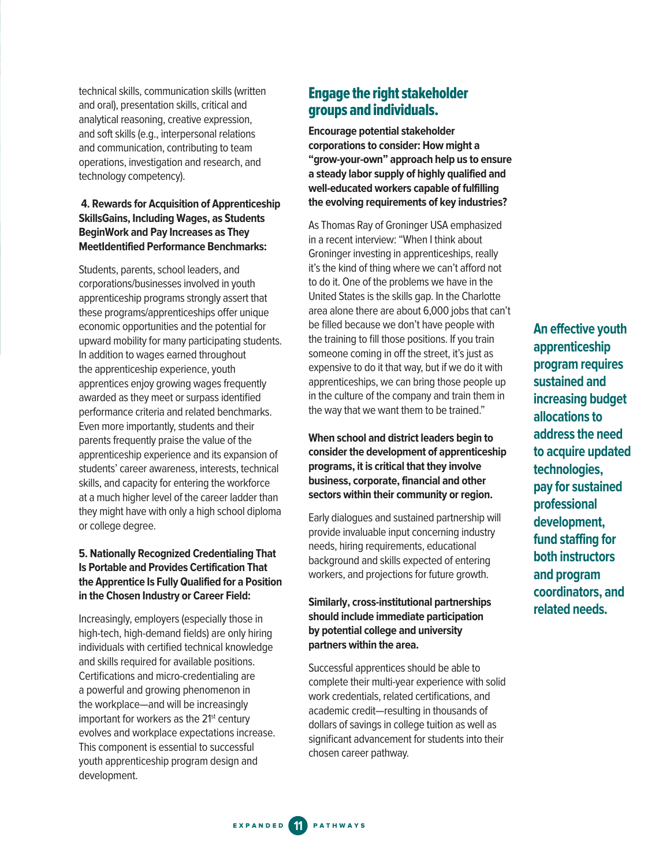technical skills, communication skills (written and oral), presentation skills, critical and analytical reasoning, creative expression, and soft skills (e.g., interpersonal relations and communication, contributing to team operations, investigation and research, and technology competency).

#### **4. Rewards for Acquisition of Apprenticeship SkillsGains, Including Wages, as Students BeginWork and Pay Increases as They MeetIdentified Performance Benchmarks:**

Students, parents, school leaders, and corporations/businesses involved in youth apprenticeship programs strongly assert that these programs/apprenticeships offer unique economic opportunities and the potential for upward mobility for many participating students. In addition to wages earned throughout the apprenticeship experience, youth apprentices enjoy growing wages frequently awarded as they meet or surpass identified performance criteria and related benchmarks. Even more importantly, students and their parents frequently praise the value of the apprenticeship experience and its expansion of students' career awareness, interests, technical skills, and capacity for entering the workforce at a much higher level of the career ladder than they might have with only a high school diploma or college degree.

#### **5. Nationally Recognized Credentialing That Is Portable and Provides Certification That the Apprentice Is Fully Qualified for a Position in the Chosen Industry or Career Field:**

Increasingly, employers (especially those in high-tech, high-demand fields) are only hiring individuals with certified technical knowledge and skills required for available positions. Certifications and micro-credentialing are a powerful and growing phenomenon in the workplace—and will be increasingly important for workers as the 21<sup>st</sup> century evolves and workplace expectations increase. This component is essential to successful youth apprenticeship program design and development.

# Engage the right stakeholder groups and individuals.

**Encourage potential stakeholder corporations to consider: How might a "grow-your-own" approach help us to ensure a steady labor supply of highly qualified and well-educated workers capable of fulfilling the evolving requirements of key industries?** 

As Thomas Ray of Groninger USA emphasized in a recent interview: "When I think about Groninger investing in apprenticeships, really it's the kind of thing where we can't afford not to do it. One of the problems we have in the United States is the skills gap. In the Charlotte area alone there are about 6,000 jobs that can't be filled because we don't have people with the training to fill those positions. If you train someone coming in off the street, it's just as expensive to do it that way, but if we do it with apprenticeships, we can bring those people up in the culture of the company and train them in the way that we want them to be trained."

**When school and district leaders begin to consider the development of apprenticeship programs, it is critical that they involve business, corporate, financial and other sectors within their community or region.**

Early dialogues and sustained partnership will provide invaluable input concerning industry needs, hiring requirements, educational background and skills expected of entering workers, and projections for future growth.

#### **Similarly, cross-institutional partnerships should include immediate participation by potential college and university partners within the area.**

Successful apprentices should be able to complete their multi-year experience with solid work credentials, related certifications, and academic credit—resulting in thousands of dollars of savings in college tuition as well as significant advancement for students into their chosen career pathway.

**An effective youth apprenticeship program requires sustained and increasing budget allocations to address the need to acquire updated technologies, pay for sustained professional development, fund staffing for both instructors and program coordinators, and related needs.**

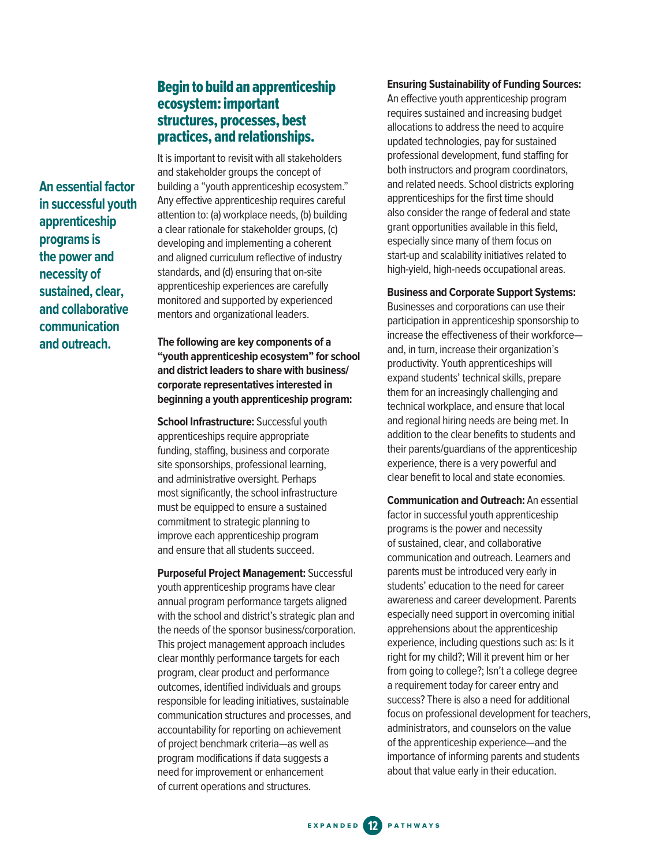Begin to build an apprenticeship ecosystem: important structures, processes, best practices, and relationships.

**An essential factor in successful youth apprenticeship programs is the power and necessity of sustained, clear, and collaborative communication and outreach.** 

It is important to revisit with all stakeholders and stakeholder groups the concept of building a "youth apprenticeship ecosystem." Any effective apprenticeship requires careful attention to: (a) workplace needs, (b) building a clear rationale for stakeholder groups, (c) developing and implementing a coherent and aligned curriculum reflective of industry standards, and (d) ensuring that on-site apprenticeship experiences are carefully monitored and supported by experienced mentors and organizational leaders.

**The following are key components of a "youth apprenticeship ecosystem" for school and district leaders to share with business/ corporate representatives interested in beginning a youth apprenticeship program:**

**School Infrastructure:** Successful youth apprenticeships require appropriate funding, staffing, business and corporate site sponsorships, professional learning, and administrative oversight. Perhaps most significantly, the school infrastructure must be equipped to ensure a sustained commitment to strategic planning to improve each apprenticeship program and ensure that all students succeed.

**Purposeful Project Management:** Successful youth apprenticeship programs have clear annual program performance targets aligned with the school and district's strategic plan and the needs of the sponsor business/corporation. This project management approach includes clear monthly performance targets for each program, clear product and performance outcomes, identified individuals and groups responsible for leading initiatives, sustainable communication structures and processes, and accountability for reporting on achievement of project benchmark criteria—as well as program modifications if data suggests a need for improvement or enhancement of current operations and structures.

#### **Ensuring Sustainability of Funding Sources:**

An effective youth apprenticeship program requires sustained and increasing budget allocations to address the need to acquire updated technologies, pay for sustained professional development, fund staffing for both instructors and program coordinators, and related needs. School districts exploring apprenticeships for the first time should also consider the range of federal and state grant opportunities available in this field, especially since many of them focus on start-up and scalability initiatives related to high-yield, high-needs occupational areas.

**Business and Corporate Support Systems:**  Businesses and corporations can use their participation in apprenticeship sponsorship to increase the effectiveness of their workforce and, in turn, increase their organization's productivity. Youth apprenticeships will expand students' technical skills, prepare them for an increasingly challenging and technical workplace, and ensure that local and regional hiring needs are being met. In addition to the clear benefits to students and their parents/guardians of the apprenticeship experience, there is a very powerful and clear benefit to local and state economies.

**Communication and Outreach:** An essential factor in successful youth apprenticeship programs is the power and necessity of sustained, clear, and collaborative communication and outreach. Learners and parents must be introduced very early in students' education to the need for career awareness and career development. Parents especially need support in overcoming initial apprehensions about the apprenticeship experience, including questions such as: Is it right for my child?; Will it prevent him or her from going to college?; Isn't a college degree a requirement today for career entry and success? There is also a need for additional focus on professional development for teachers, administrators, and counselors on the value of the apprenticeship experience—and the importance of informing parents and students about that value early in their education.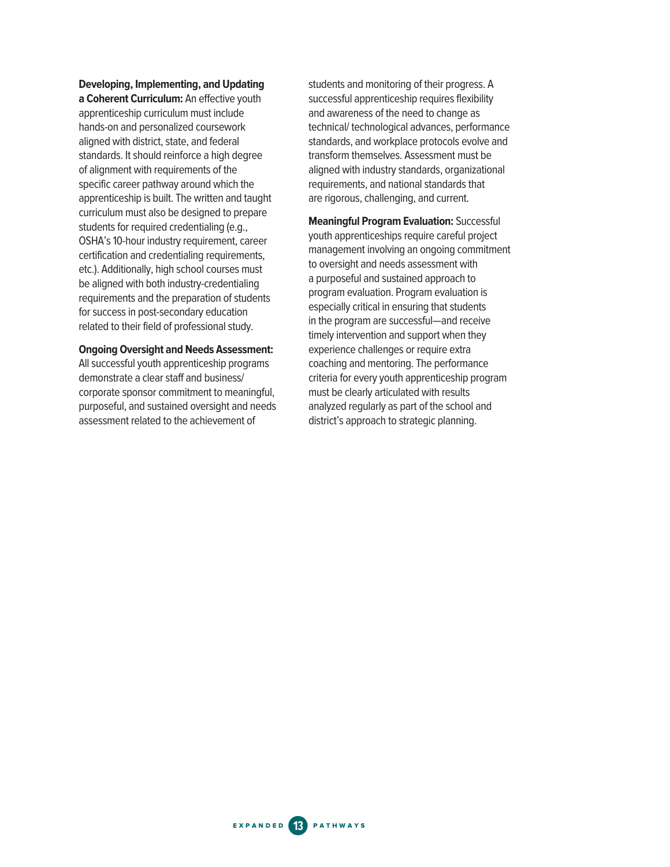**Developing, Implementing, and Updating** 

**a Coherent Curriculum:** An effective youth apprenticeship curriculum must include hands-on and personalized coursework aligned with district, state, and federal standards. It should reinforce a high degree of alignment with requirements of the specific career pathway around which the apprenticeship is built. The written and taught curriculum must also be designed to prepare students for required credentialing (e.g., OSHA's 10-hour industry requirement, career certification and credentialing requirements, etc.). Additionally, high school courses must be aligned with both industry-credentialing requirements and the preparation of students for success in post-secondary education related to their field of professional study.

#### **Ongoing Oversight and Needs Assessment:**

All successful youth apprenticeship programs demonstrate a clear staff and business/ corporate sponsor commitment to meaningful, purposeful, and sustained oversight and needs assessment related to the achievement of

students and monitoring of their progress. A successful apprenticeship requires flexibility and awareness of the need to change as technical/ technological advances, performance standards, and workplace protocols evolve and transform themselves. Assessment must be aligned with industry standards, organizational requirements, and national standards that are rigorous, challenging, and current.

**Meaningful Program Evaluation:** Successful youth apprenticeships require careful project management involving an ongoing commitment to oversight and needs assessment with a purposeful and sustained approach to program evaluation. Program evaluation is especially critical in ensuring that students in the program are successful—and receive timely intervention and support when they experience challenges or require extra coaching and mentoring. The performance criteria for every youth apprenticeship program must be clearly articulated with results analyzed regularly as part of the school and district's approach to strategic planning.

EXPANDED **13** PATHWAYS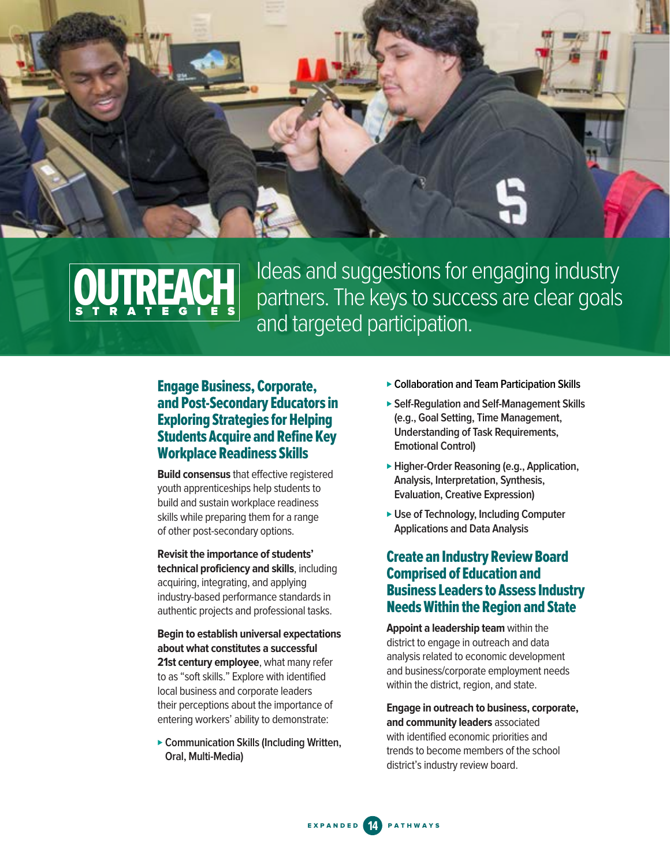

# **OUTREACH**

Ideas and suggestions for engaging industry partners. The keys to success are clear goals and targeted participation.

#### Engage Business, Corporate, and Post-Secondary Educators in Exploring Strategies for Helping Students Acquire and Refine Key Workplace Readiness Skills

**Build consensus** that effective registered youth apprenticeships help students to build and sustain workplace readiness skills while preparing them for a range of other post-secondary options.

**Revisit the importance of students' technical proficiency and skills**, including acquiring, integrating, and applying industry-based performance standards in authentic projects and professional tasks.

**Begin to establish universal expectations about what constitutes a successful 21st century employee**, what many refer to as "soft skills." Explore with identified local business and corporate leaders their perceptions about the importance of entering workers' ability to demonstrate:

⊲ **Communication Skills (Including Written, Oral, Multi-Media)**

- ⊲ **Collaboration and Team Participation Skills**
- ► Self-Regulation and Self-Management Skills **(e.g., Goal Setting, Time Management, Understanding of Task Requirements, Emotional Control)**
- ⊲ **Higher-Order Reasoning (e.g., Application, Analysis, Interpretation, Synthesis, Evaluation, Creative Expression)**
- ⊲ **Use of Technology, Including Computer Applications and Data Analysis**

### Create an Industry Review Board Comprised of Education and Business Leaders to Assess Industry Needs Within the Region and State

**Appoint a leadership team** within the district to engage in outreach and data analysis related to economic development and business/corporate employment needs within the district, region, and state.

**Engage in outreach to business, corporate, and community leaders** associated with identified economic priorities and trends to become members of the school district's industry review board.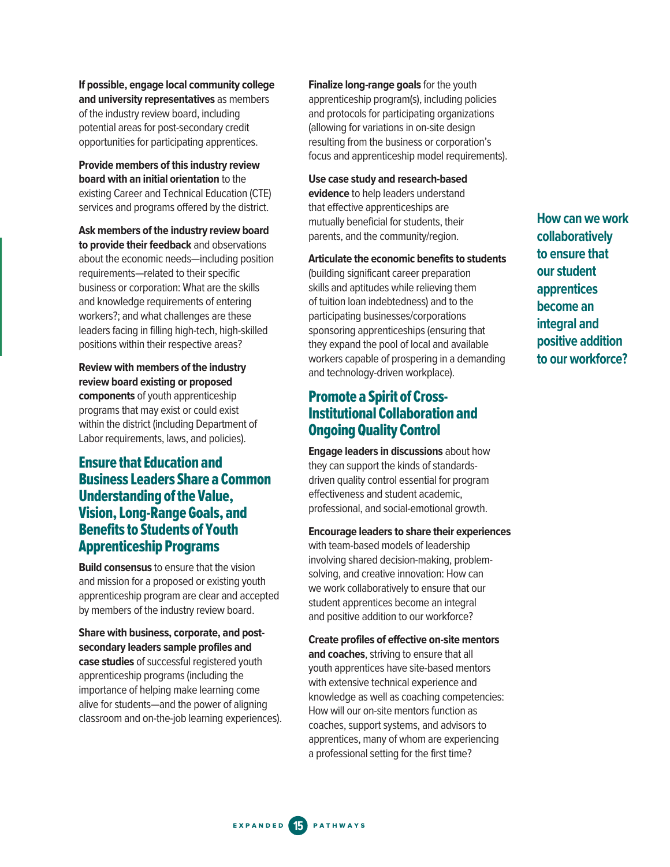**If possible, engage local community college and university representatives** as members of the industry review board, including potential areas for post-secondary credit opportunities for participating apprentices.

**Provide members of this industry review board with an initial orientation** to the existing Career and Technical Education (CTE) services and programs offered by the district.

**Ask members of the industry review board to provide their feedback** and observations about the economic needs—including position requirements—related to their specific business or corporation: What are the skills and knowledge requirements of entering workers?; and what challenges are these leaders facing in filling high-tech, high-skilled positions within their respective areas?

**Review with members of the industry review board existing or proposed components** of youth apprenticeship programs that may exist or could exist within the district (including Department of Labor requirements, laws, and policies).

### Ensure that Education and Business Leaders Share a Common Understanding of the Value, Vision, Long-Range Goals, and Benefits to Students of Youth Apprenticeship Programs

**Build consensus** to ensure that the vision and mission for a proposed or existing youth apprenticeship program are clear and accepted by members of the industry review board.

**Share with business, corporate, and postsecondary leaders sample profiles and case studies** of successful registered youth apprenticeship programs (including the importance of helping make learning come alive for students—and the power of aligning classroom and on-the-job learning experiences). **Finalize long-range goals** for the youth apprenticeship program(s), including policies and protocols for participating organizations (allowing for variations in on-site design resulting from the business or corporation's focus and apprenticeship model requirements).

**Use case study and research-based evidence** to help leaders understand that effective apprenticeships are mutually beneficial for students, their parents, and the community/region.

**Articulate the economic benefits to students**  (building significant career preparation skills and aptitudes while relieving them of tuition loan indebtedness) and to the participating businesses/corporations sponsoring apprenticeships (ensuring that they expand the pool of local and available workers capable of prospering in a demanding and technology-driven workplace).

#### Promote a Spirit of Cross-Institutional Collaboration and Ongoing Quality Control

**Engage leaders in discussions** about how they can support the kinds of standardsdriven quality control essential for program effectiveness and student academic, professional, and social-emotional growth.

**Encourage leaders to share their experiences**

with team-based models of leadership involving shared decision-making, problemsolving, and creative innovation: How can we work collaboratively to ensure that our student apprentices become an integral and positive addition to our workforce?

**Create profiles of effective on-site mentors and coaches**, striving to ensure that all youth apprentices have site-based mentors with extensive technical experience and knowledge as well as coaching competencies: How will our on-site mentors function as coaches, support systems, and advisors to apprentices, many of whom are experiencing a professional setting for the first time?

**How can we work collaboratively to ensure that our student apprentices become an integral and positive addition to our workforce?**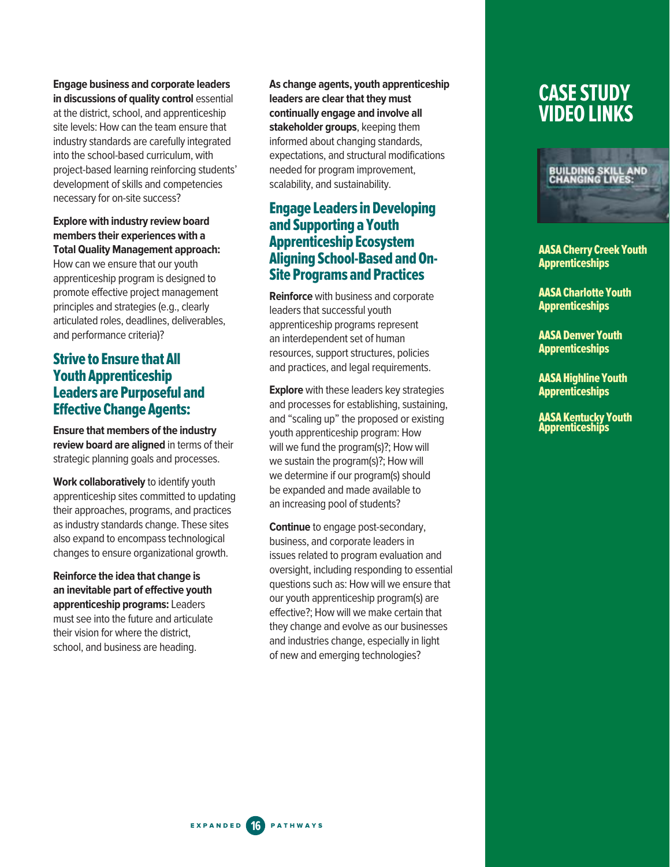**Engage business and corporate leaders in discussions of quality control** essential at the district, school, and apprenticeship site levels: How can the team ensure that industry standards are carefully integrated into the school-based curriculum, with project-based learning reinforcing students' development of skills and competencies necessary for on-site success?

**Explore with industry review board members their experiences with a Total Quality Management approach:** How can we ensure that our youth apprenticeship program is designed to promote effective project management principles and strategies (e.g., clearly articulated roles, deadlines, deliverables, and performance criteria)?

### Strive to Ensure that All Youth Apprenticeship Leaders are Purposeful and Effective Change Agents:

**Ensure that members of the industry review board are aligned** in terms of their strategic planning goals and processes.

**Work collaboratively** to identify youth apprenticeship sites committed to updating their approaches, programs, and practices as industry standards change. These sites also expand to encompass technological changes to ensure organizational growth.

**Reinforce the idea that change is an inevitable part of effective youth apprenticeship programs:** Leaders must see into the future and articulate their vision for where the district, school, and business are heading.

**As change agents, youth apprenticeship leaders are clear that they must continually engage and involve all stakeholder groups**, keeping them informed about changing standards, expectations, and structural modifications needed for program improvement, scalability, and sustainability.

### Engage Leaders in Developing and Supporting a Youth Apprenticeship Ecosystem Aligning School-Based and On-Site Programs and Practices

**Reinforce** with business and corporate leaders that successful youth apprenticeship programs represent an interdependent set of human resources, support structures, policies and practices, and legal requirements.

**Explore** with these leaders key strategies and processes for establishing, sustaining, and "scaling up" the proposed or existing youth apprenticeship program: How will we fund the program(s)?; How will we sustain the program(s)?; How will we determine if our program(s) should be expanded and made available to an increasing pool of students?

**Continue** to engage post-secondary, business, and corporate leaders in issues related to program evaluation and oversight, including responding to essential questions such as: How will we ensure that our youth apprenticeship program(s) are effective?; How will we make certain that they change and evolve as our businesses and industries change, especially in light of new and emerging technologies?

# **CASE STUDY VIDEO LINKS**

![](_page_17_Picture_12.jpeg)

[AASA Cherry Creek Youth](https://www.youtube.com/watch?v=ygRmljexdcs&feature=youtu.be)  [Apprenticeships](https://www.youtube.com/watch?v=ygRmljexdcs&feature=youtu.be)

[AASA Charlotte Youth](https://www.youtube.com/watch?v=Cibp6VMv7Mo&feature=youtu.be)  **[Apprenticeships](https://www.youtube.com/watch?v=Cibp6VMv7Mo&feature=youtu.be)** 

[AASA Denver Youth](https://www.youtube.com/watch?v=MRPicYy9T24&feature=youtu.be)  **[Apprenticeships](https://www.youtube.com/watch?v=MRPicYy9T24&feature=youtu.be)** 

[AASA Highline Youth](https://www.youtube.com/watch?v=jM19pvUBGYc&feature=youtu.be)  **[Apprenticeships](https://www.youtube.com/watch?v=jM19pvUBGYc&feature=youtu.be)** 

[AASA Kentucky Youth](https://www.youtube.com/watch?v=uLArpzXH-EE&feature=youtu.be)  **[Apprenticeships](https://www.youtube.com/watch?v=uLArpzXH-EE&feature=youtu.be)**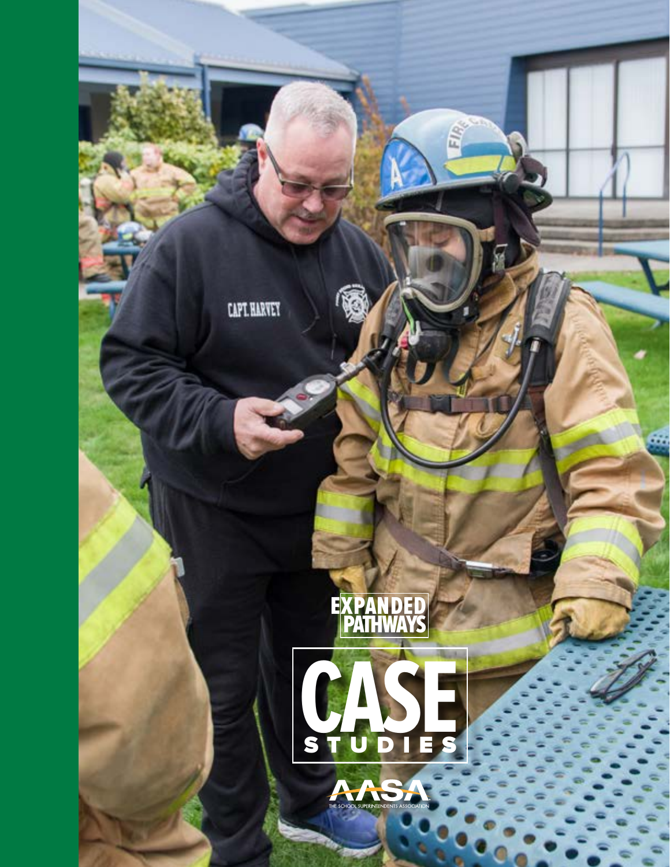![](_page_18_Picture_0.jpeg)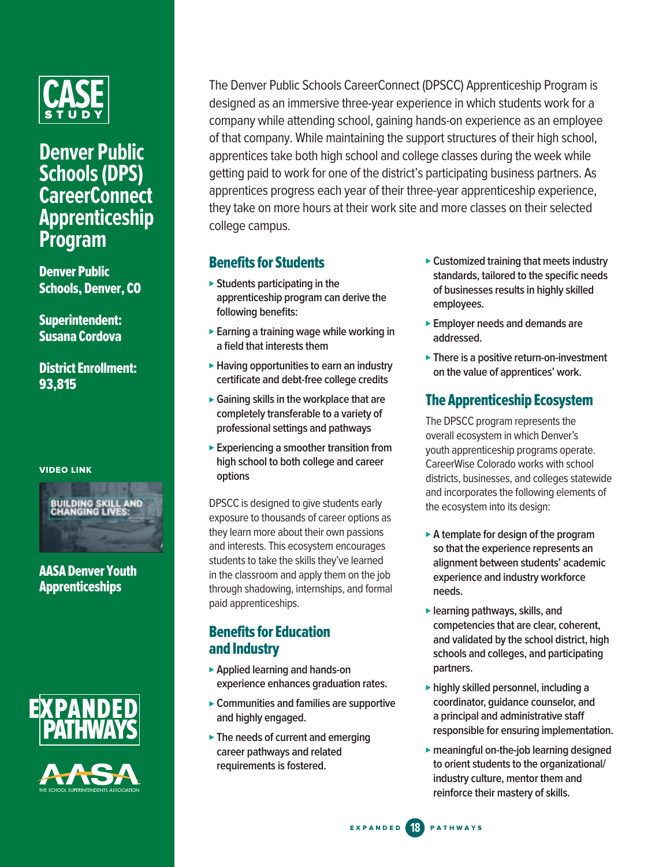![](_page_19_Picture_0.jpeg)

# **Denver Public Schools (DPS) CareerConnect Apprenticeship Program**

Denver Public Schools, Denver, CO

Superintendent: Susana Cordova

District Enrollment: 93,815

VIDEO LINK

![](_page_19_Picture_6.jpeg)

[AASA Denver Youth](https://www.youtube.com/watch?v=MRPicYy9T24&feature=youtu.be)  [Apprenticeships](https://www.youtube.com/watch?v=MRPicYy9T24&feature=youtu.be)

![](_page_19_Picture_8.jpeg)

![](_page_19_Picture_9.jpeg)

The Denver Public Schools CareerConnect (DPSCC) Apprenticeship Program is designed as an immersive three-year experience in which students work for a company while attending school, gaining hands-on experience as an employee of that company. While maintaining the support structures of their high school, apprentices take both high school and college classes during the week while getting paid to work for one of the district's participating business partners. As apprentices progress each year of their three-year apprenticeship experience, they take on more hours at their work site and more classes on their selected college campus.

# Benefits for Students

- ⊲ **Students participating in the apprenticeship program can derive the following benefits:**
- ► Earning a training wage while working in **a field that interests them**
- ⊲ **Having opportunities to earn an industry certificate and debt-free college credits**
- ⊲ **Gaining skills in the workplace that are completely transferable to a variety of professional settings and pathways**
- ⊲ **Experiencing a smoother transition from high school to both college and career options**

DPSCC is designed to give students early exposure to thousands of career options as they learn more about their own passions and interests. This ecosystem encourages students to take the skills they've learned in the classroom and apply them on the job through shadowing, internships, and formal paid apprenticeships.

### Benefits for Education and Industry

- ⊲ **Applied learning and hands-on experience enhances graduation rates.**
- ⊲ **Communities and families are supportive and highly engaged.**
- ⊲ **The needs of current and emerging career pathways and related requirements is fostered.**
- ⊲ **Customized training that meets industry standards, tailored to the specific needs of businesses results in highly skilled employees.**
- ⊲ **Employer needs and demands are addressed.**
- ⊲ **There is a positive return-on-investment on the value of apprentices' work.**

# The Apprenticeship Ecosystem

The DPSCC program represents the overall ecosystem in which Denver's youth apprenticeship programs operate. CareerWise Colorado works with school districts, businesses, and colleges statewide and incorporates the following elements of the ecosystem into its design:

- ⊲ **A template for design of the program so that the experience represents an alignment between students' academic experience and industry workforce needs.**
- ⊲ **learning pathways, skills, and competencies that are clear, coherent, and validated by the school district, high schools and colleges, and participating partners.**
- ⊲ **highly skilled personnel, including a coordinator, guidance counselor, and a principal and administrative staff responsible for ensuring implementation.**
- ⊲ **meaningful on-the-job learning designed to orient students to the organizational/ industry culture, mentor them and reinforce their mastery of skills.**

EXPANDED **18** PATHWAYS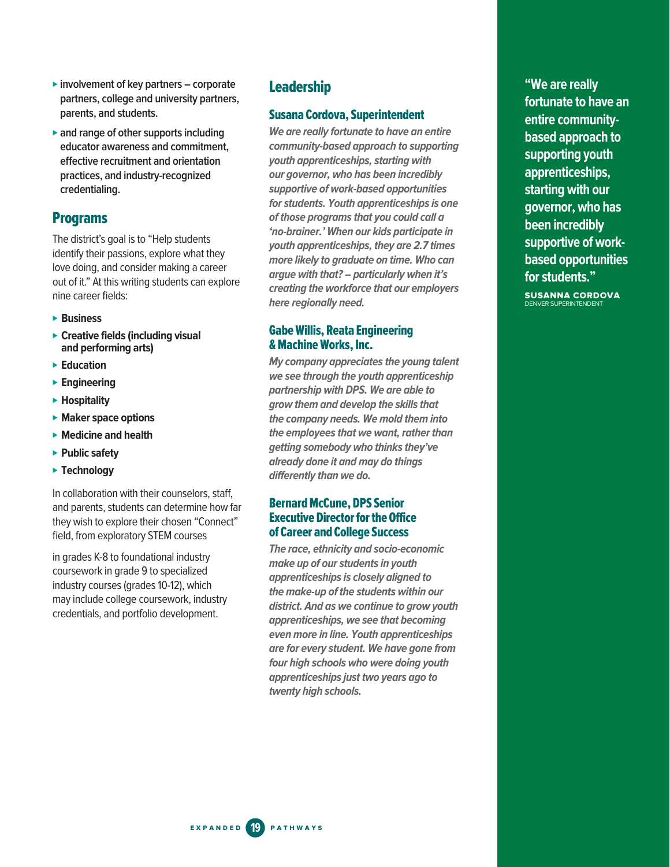- ⊲ **involvement of key partners corporate partners, college and university partners, parents, and students.**
- ⊲ **and range of other supports including educator awareness and commitment, effective recruitment and orientation practices, and industry-recognized credentialing.**

#### Programs

The district's goal is to "Help students identify their passions, explore what they love doing, and consider making a career out of it." At this writing students can explore nine career fields:

- ⊲ **Business**
- ⊲ **Creative fields (including visual and performing arts)**
- ⊲ **Education**
- ⊲ **Engineering**
- ⊲ **Hospitality**
- ⊲ **Maker space options**
- ⊲ **Medicine and health**
- ⊲ **Public safety**
- ⊲ **Technology**

In collaboration with their counselors, staff, and parents, students can determine how far they wish to explore their chosen "Connect" field, from exploratory STEM courses

in grades K-8 to foundational industry coursework in grade 9 to specialized industry courses (grades 10-12), which may include college coursework, industry credentials, and portfolio development.

### **Leadership**

#### Susana Cordova, Superintendent

**We are really fortunate to have an entire community-based approach to supporting youth apprenticeships, starting with our governor, who has been incredibly supportive of work-based opportunities for students. Youth apprenticeships is one of those programs that you could call a 'no-brainer.' When our kids participate in youth apprenticeships, they are 2.7 times more likely to graduate on time. Who can argue with that? – particularly when it's creating the workforce that our employers here regionally need.**

#### Gabe Willis, Reata Engineering & Machine Works, Inc.

**My company appreciates the young talent we see through the youth apprenticeship partnership with DPS. We are able to grow them and develop the skills that the company needs. We mold them into the employees that we want, rather than getting somebody who thinks they've already done it and may do things differently than we do.**

#### Bernard McCune, DPS Senior Executive Director for the Office of Career and College Success

**The race, ethnicity and socio-economic make up of our students in youth apprenticeships is closely aligned to the make-up of the students within our district. And as we continue to grow youth apprenticeships, we see that becoming even more in line. Youth apprenticeships are for every student. We have gone from four high schools who were doing youth apprenticeships just two years ago to twenty high schools.**

**"We are really fortunate to have an entire communitybased approach to supporting youth apprenticeships, starting with our governor, who has been incredibly supportive of workbased opportunities for students."** SUSANNA CORDOVA DENVER SUPERINTENDENT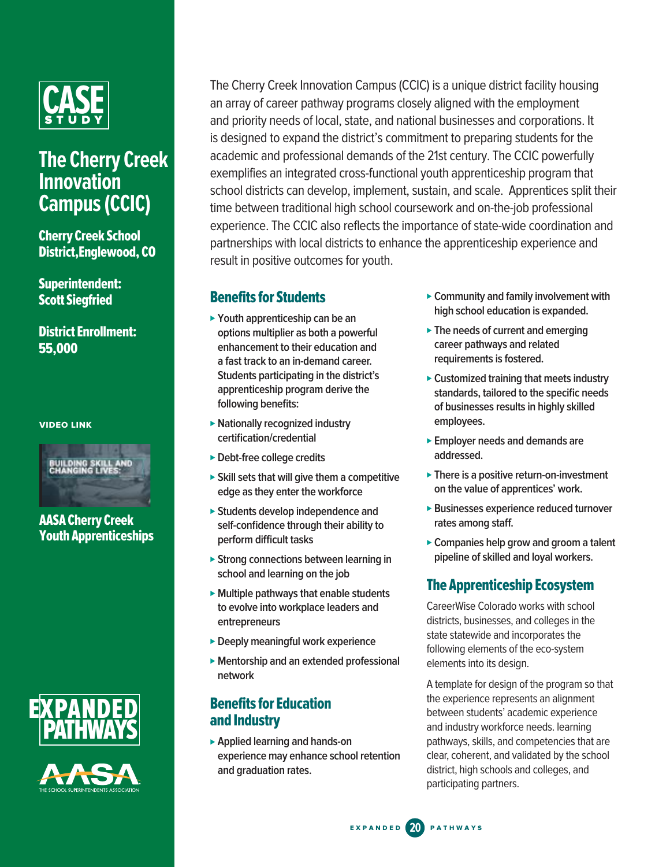![](_page_21_Picture_0.jpeg)

# **The Cherry Creek Innovation Campus (CCIC)**

Cherry Creek School District,Englewood, CO

Superintendent: Scott Siegfried

District Enrollment: 55,000

VIDEO LINK

![](_page_21_Picture_6.jpeg)

[AASA Cherry Creek](https://www.youtube.com/watch?v=ygRmljexdcs&feature=youtu.be)  [Youth Apprenticeships](https://www.youtube.com/watch?v=ygRmljexdcs&feature=youtu.be)

![](_page_21_Picture_8.jpeg)

![](_page_21_Picture_9.jpeg)

The Cherry Creek Innovation Campus (CCIC) is a unique district facility housing an array of career pathway programs closely aligned with the employment and priority needs of local, state, and national businesses and corporations. It is designed to expand the district's commitment to preparing students for the academic and professional demands of the 21st century. The CCIC powerfully exemplifies an integrated cross-functional youth apprenticeship program that school districts can develop, implement, sustain, and scale. Apprentices split their time between traditional high school coursework and on-the-job professional experience. The CCIC also reflects the importance of state-wide coordination and partnerships with local districts to enhance the apprenticeship experience and result in positive outcomes for youth.

### Benefits for Students

- ⊲ **Youth apprenticeship can be an options multiplier as both a powerful enhancement to their education and a fast track to an in-demand career. Students participating in the district's apprenticeship program derive the following benefits:**
- ⊲ **Nationally recognized industry certification/credential**
- ⊲ **Debt-free college credits**
- ► Skill sets that will give them a competitive **edge as they enter the workforce**
- ⊲ **Students develop independence and self-confidence through their ability to perform difficult tasks**
- ► Strong connections between learning in **school and learning on the job**
- ⊲ **Multiple pathways that enable students to evolve into workplace leaders and entrepreneurs**
- ⊲ **Deeply meaningful work experience**
- ⊲ **Mentorship and an extended professional network**

### Benefits for Education and Industry

⊲ **Applied learning and hands-on experience may enhance school retention and graduation rates.**

- ► Community and family involvement with **high school education is expanded.**
- ⊲ **The needs of current and emerging career pathways and related requirements is fostered.**
- ⊲ **Customized training that meets industry standards, tailored to the specific needs of businesses results in highly skilled employees.**
- ⊲ **Employer needs and demands are addressed.**
- ⊲ **There is a positive return-on-investment on the value of apprentices' work.**
- ⊲ **Businesses experience reduced turnover rates among staff.**
- ⊲ **Companies help grow and groom a talent pipeline of skilled and loyal workers.**

# The Apprenticeship Ecosystem

CareerWise Colorado works with school districts, businesses, and colleges in the state statewide and incorporates the following elements of the eco-system elements into its design.

A template for design of the program so that the experience represents an alignment between students' academic experience and industry workforce needs. learning pathways, skills, and competencies that are clear, coherent, and validated by the school district, high schools and colleges, and participating partners.

![](_page_21_Picture_33.jpeg)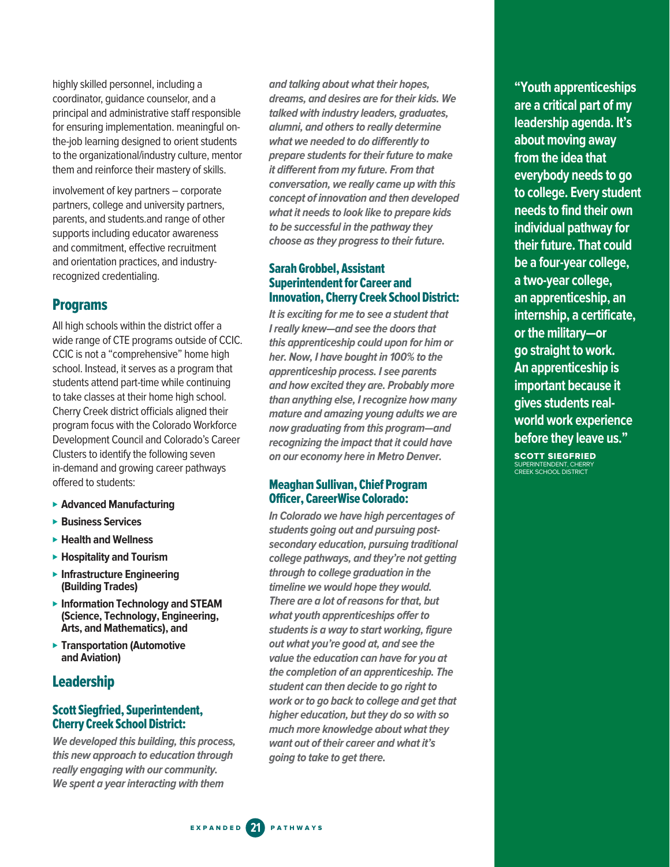highly skilled personnel, including a coordinator, guidance counselor, and a principal and administrative staff responsible for ensuring implementation. meaningful onthe-job learning designed to orient students to the organizational/industry culture, mentor them and reinforce their mastery of skills.

involvement of key partners – corporate partners, college and university partners, parents, and students.and range of other supports including educator awareness and commitment, effective recruitment and orientation practices, and industryrecognized credentialing.

#### Programs

All high schools within the district offer a wide range of CTE programs outside of CCIC. CCIC is not a "comprehensive" home high school. Instead, it serves as a program that students attend part-time while continuing to take classes at their home high school. Cherry Creek district officials aligned their program focus with the Colorado Workforce Development Council and Colorado's Career Clusters to identify the following seven in-demand and growing career pathways offered to students:

- ⊲ **Advanced Manufacturing**
- ⊲ **Business Services**
- ⊲ **Health and Wellness**
- ⊲ **Hospitality and Tourism**
- ⊲ **Infrastructure Engineering (Building Trades)**
- ⊲ **Information Technology and STEAM (Science, Technology, Engineering, Arts, and Mathematics), and**
- ⊲ **Transportation (Automotive and Aviation)**

#### Leadership

#### Scott Siegfried, Superintendent, Cherry Creek School District:

**We developed this building, this process, this new approach to education through really engaging with our community. We spent a year interacting with them** 

**and talking about what their hopes, dreams, and desires are for their kids. We talked with industry leaders, graduates, alumni, and others to really determine what we needed to do differently to prepare students for their future to make it different from my future. From that conversation, we really came up with this concept of innovation and then developed what it needs to look like to prepare kids to be successful in the pathway they choose as they progress to their future.**

#### Sarah Grobbel, Assistant Superintendent for Career and Innovation, Cherry Creek School District:

**It is exciting for me to see a student that I really knew—and see the doors that this apprenticeship could upon for him or her. Now, I have bought in 100% to the apprenticeship process. I see parents and how excited they are. Probably more than anything else, I recognize how many mature and amazing young adults we are now graduating from this program—and recognizing the impact that it could have on our economy here in Metro Denver.**

#### Meaghan Sullivan, Chief Program Officer, CareerWise Colorado:

**In Colorado we have high percentages of students going out and pursuing postsecondary education, pursuing traditional college pathways, and they're not getting through to college graduation in the timeline we would hope they would. There are a lot of reasons for that, but what youth apprenticeships offer to students is a way to start working, figure out what you're good at, and see the value the education can have for you at the completion of an apprenticeship. The student can then decide to go right to work or to go back to college and get that higher education, but they do so with so much more knowledge about what they want out of their career and what it's going to take to get there.**

**"Youth apprenticeships are a critical part of my leadership agenda. It's about moving away from the idea that everybody needs to go to college. Every student needs to find their own individual pathway for their future. That could be a four-year college, a two-year college, an apprenticeship, an internship, a certificate, or the military—or go straight to work. An apprenticeship is important because it gives students realworld work experience before they leave us."**

SCOTT SIEGFRIED SUPERINTENDENT, CHERRY CREEK SCHOOL DISTRICT

EXPANDED **21** PATHWAYS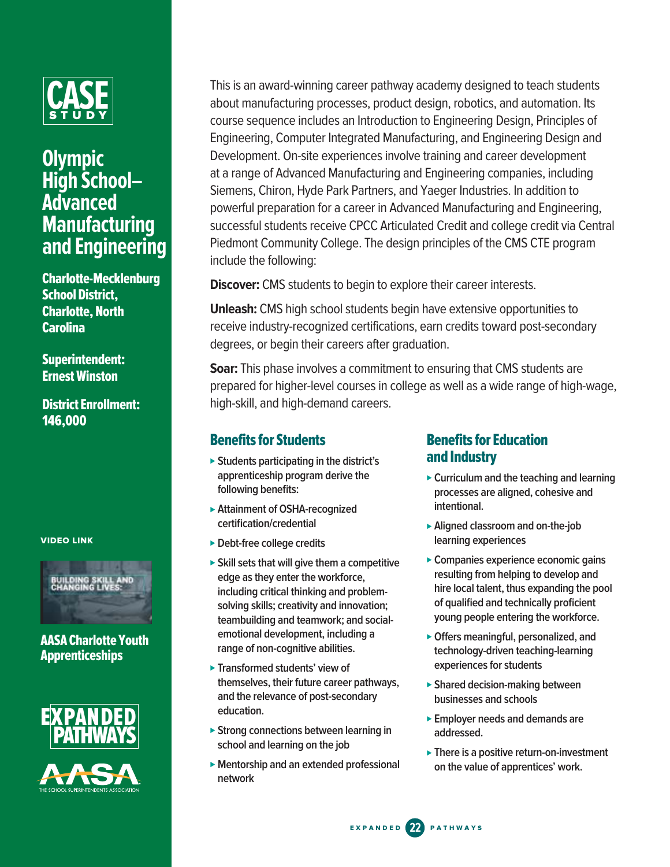![](_page_23_Picture_0.jpeg)

# **Olympic High School– Advanced Manufacturing and Engineering**

Charlotte-Mecklenburg School District, Charlotte, North Carolina

Superintendent: Ernest Winston

#### District Enrollment: 146,000

VIDEO LINK

![](_page_23_Picture_6.jpeg)

[AASA Charlotte Youth](https://www.youtube.com/watch?v=Cibp6VMv7Mo&feature=youtu.be)  [Apprenticeships](https://www.youtube.com/watch?v=Cibp6VMv7Mo&feature=youtu.be)

![](_page_23_Picture_8.jpeg)

This is an award-winning career pathway academy designed to teach students about manufacturing processes, product design, robotics, and automation. Its course sequence includes an Introduction to Engineering Design, Principles of Engineering, Computer Integrated Manufacturing, and Engineering Design and Development. On-site experiences involve training and career development at a range of Advanced Manufacturing and Engineering companies, including Siemens, Chiron, Hyde Park Partners, and Yaeger Industries. In addition to powerful preparation for a career in Advanced Manufacturing and Engineering, successful students receive CPCC Articulated Credit and college credit via Central Piedmont Community College. The design principles of the CMS CTE program include the following:

**Discover:** CMS students to begin to explore their career interests.

**Unleash:** CMS high school students begin have extensive opportunities to receive industry-recognized certifications, earn credits toward post-secondary degrees, or begin their careers after graduation.

**Soar:** This phase involves a commitment to ensuring that CMS students are prepared for higher-level courses in college as well as a wide range of high-wage, high-skill, and high-demand careers.

### Benefits for Students

- ⊲ **Students participating in the district's apprenticeship program derive the following benefits:**
- ⊲ **Attainment of OSHA-recognized certification/credential**
- ⊲ **Debt-free college credits**
- ► Skill sets that will give them a competitive **edge as they enter the workforce, including critical thinking and problemsolving skills; creativity and innovation; teambuilding and teamwork; and socialemotional development, including a range of non-cognitive abilities.**
- ⊲ **Transformed students' view of themselves, their future career pathways, and the relevance of post-secondary education.**
- ► Strong connections between learning in **school and learning on the job**
- ⊲ **Mentorship and an extended professional network**

# Benefits for Education and Industry

- ► Curriculum and the teaching and learning **processes are aligned, cohesive and intentional.**
- ⊲ **Aligned classroom and on-the-job learning experiences**
- ⊲ **Companies experience economic gains resulting from helping to develop and hire local talent, thus expanding the pool of qualified and technically proficient young people entering the workforce.**
- ⊲ **Offers meaningful, personalized, and technology-driven teaching-learning experiences for students**
- ⊲ **Shared decision-making between businesses and schools**
- ⊲ **Employer needs and demands are addressed.**
- ⊲ **There is a positive return-on-investment on the value of apprentices' work.**

![](_page_23_Picture_29.jpeg)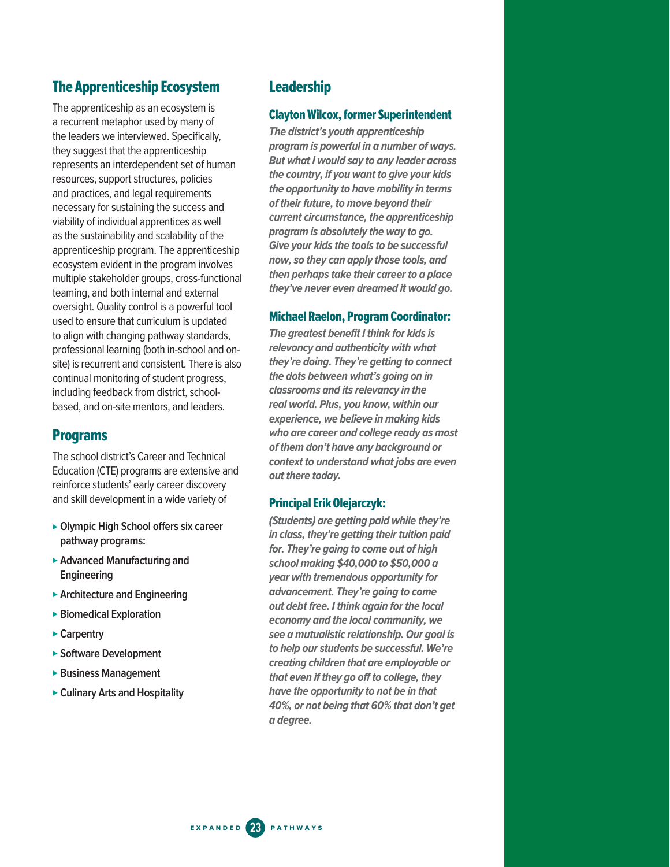### The Apprenticeship Ecosystem

The apprenticeship as an ecosystem is a recurrent metaphor used by many of the leaders we interviewed. Specifically, they suggest that the apprenticeship represents an interdependent set of human resources, support structures, policies and practices, and legal requirements necessary for sustaining the success and viability of individual apprentices as well as the sustainability and scalability of the apprenticeship program. The apprenticeship ecosystem evident in the program involves multiple stakeholder groups, cross-functional teaming, and both internal and external oversight. Quality control is a powerful tool used to ensure that curriculum is updated to align with changing pathway standards, professional learning (both in-school and onsite) is recurrent and consistent. There is also continual monitoring of student progress, including feedback from district, schoolbased, and on-site mentors, and leaders.

#### Programs

The school district's Career and Technical Education (CTE) programs are extensive and reinforce students' early career discovery and skill development in a wide variety of

- ⊲ **Olympic High School offers six career pathway programs:**
- ⊲ **Advanced Manufacturing and Engineering**
- ⊲ **Architecture and Engineering**
- ⊲ **Biomedical Exploration**
- ⊲ **Carpentry**
- ⊲ **Software Development**
- ► Business Management
- ⊲ **Culinary Arts and Hospitality**

#### Leadership

#### Clayton Wilcox, former Superintendent

**The district's youth apprenticeship program is powerful in a number of ways. But what I would say to any leader across the country, if you want to give your kids the opportunity to have mobility in terms of their future, to move beyond their current circumstance, the apprenticeship program is absolutely the way to go. Give your kids the tools to be successful now, so they can apply those tools, and then perhaps take their career to a place they've never even dreamed it would go.** 

#### Michael Raelon, Program Coordinator:

**The greatest benefit I think for kids is relevancy and authenticity with what they're doing. They're getting to connect the dots between what's going on in classrooms and its relevancy in the real world. Plus, you know, within our experience, we believe in making kids who are career and college ready as most of them don't have any background or context to understand what jobs are even out there today.**

#### Principal Erik Olejarczyk:

**(Students) are getting paid while they're in class, they're getting their tuition paid for. They're going to come out of high school making \$40,000 to \$50,000 a year with tremendous opportunity for advancement. They're going to come out debt free. I think again for the local economy and the local community, we see a mutualistic relationship. Our goal is to help our students be successful. We're creating children that are employable or that even if they go off to college, they have the opportunity to not be in that 40%, or not being that 60% that don't get a degree.**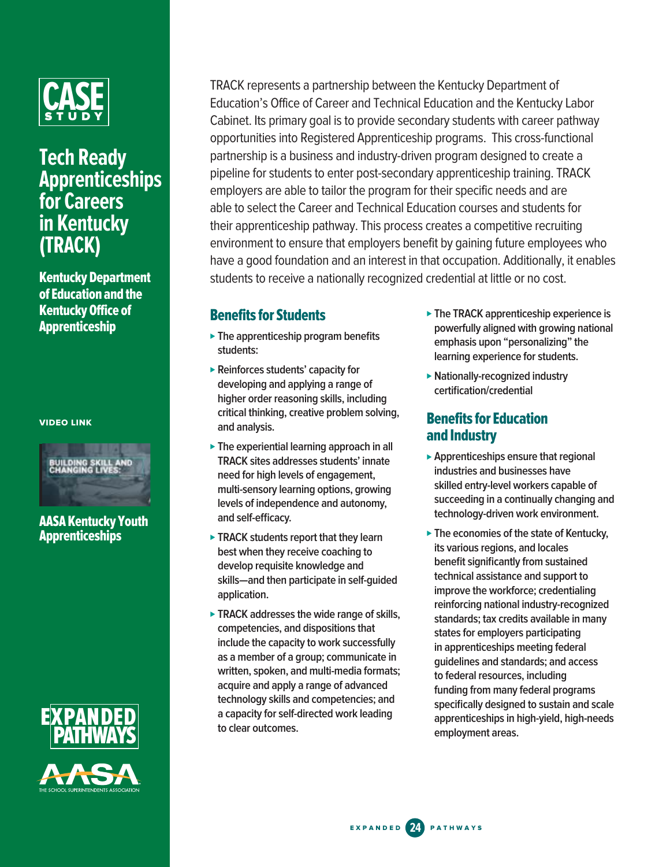![](_page_25_Picture_0.jpeg)

# **Tech Ready Apprenticeships for Careers in Kentucky (TRACK)**

Kentucky Department of Education and the Kentucky Office of Apprenticeship

VIDEO LINK

![](_page_25_Picture_4.jpeg)

[AASA Kentucky Youth](https://www.youtube.com/watch?v=uLArpzXH-EE&feature=youtu.be)  **[Apprenticeships](https://www.youtube.com/watch?v=uLArpzXH-EE&feature=youtu.be)** 

![](_page_25_Picture_6.jpeg)

TRACK represents a partnership between the Kentucky Department of Education's Office of Career and Technical Education and the Kentucky Labor Cabinet. Its primary goal is to provide secondary students with career pathway opportunities into Registered Apprenticeship programs. This cross-functional partnership is a business and industry-driven program designed to create a pipeline for students to enter post-secondary apprenticeship training. TRACK employers are able to tailor the program for their specific needs and are able to select the Career and Technical Education courses and students for their apprenticeship pathway. This process creates a competitive recruiting environment to ensure that employers benefit by gaining future employees who have a good foundation and an interest in that occupation. Additionally, it enables students to receive a nationally recognized credential at little or no cost.

### Benefits for Students

- ⊲ **The apprenticeship program benefits students:**
- ⊲ **Reinforces students' capacity for developing and applying a range of higher order reasoning skills, including critical thinking, creative problem solving, and analysis.**
- ⊲ **The experiential learning approach in all TRACK sites addresses students' innate need for high levels of engagement, multi-sensory learning options, growing levels of independence and autonomy, and self-efficacy.**
- ► TRACK students report that they learn **best when they receive coaching to develop requisite knowledge and skills—and then participate in self-guided application.**
- ⊲ **TRACK addresses the wide range of skills, competencies, and dispositions that include the capacity to work successfully as a member of a group; communicate in written, spoken, and multi-media formats; acquire and apply a range of advanced technology skills and competencies; and a capacity for self-directed work leading to clear outcomes.**
- ⊲ **The TRACK apprenticeship experience is powerfully aligned with growing national emphasis upon "personalizing" the learning experience for students.**
- ⊲ **Nationally-recognized industry certification/credential**

### Benefits for Education and Industry

- ⊲ **Apprenticeships ensure that regional industries and businesses have skilled entry-level workers capable of succeeding in a continually changing and technology-driven work environment.**
- ⊲ **The economies of the state of Kentucky, its various regions, and locales benefit significantly from sustained technical assistance and support to improve the workforce; credentialing reinforcing national industry-recognized standards; tax credits available in many states for employers participating in apprenticeships meeting federal guidelines and standards; and access to federal resources, including funding from many federal programs specifically designed to sustain and scale apprenticeships in high-yield, high-needs employment areas.**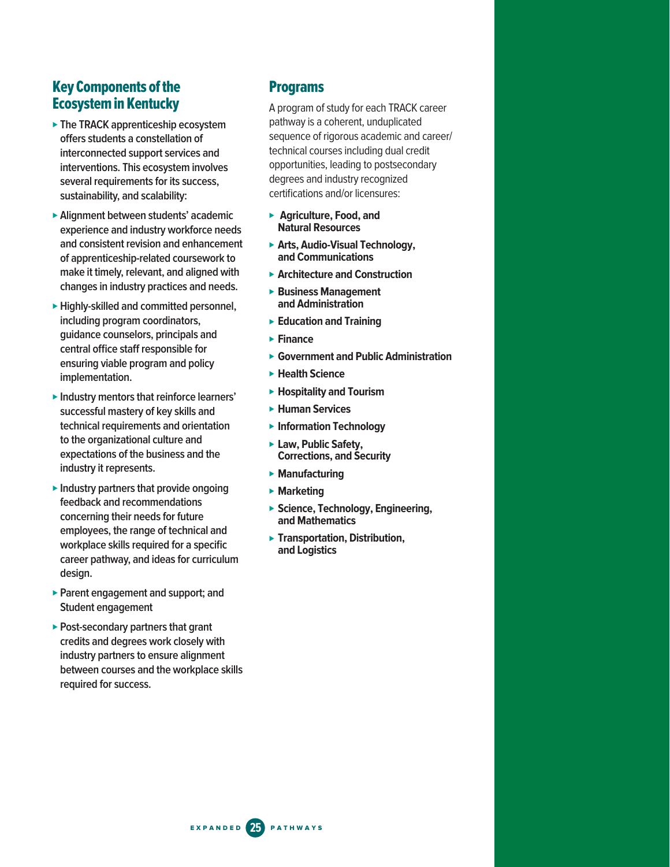### Key Components of the Ecosystem in Kentucky

- ⊲ **The TRACK apprenticeship ecosystem offers students a constellation of interconnected support services and interventions. This ecosystem involves several requirements for its success, sustainability, and scalability:**
- ⊲ **Alignment between students' academic experience and industry workforce needs and consistent revision and enhancement of apprenticeship-related coursework to make it timely, relevant, and aligned with changes in industry practices and needs.**
- ⊲ **Highly-skilled and committed personnel, including program coordinators, guidance counselors, principals and central office staff responsible for ensuring viable program and policy implementation.**
- ⊲ **Industry mentors that reinforce learners' successful mastery of key skills and technical requirements and orientation to the organizational culture and expectations of the business and the industry it represents.**
- ⊲ **Industry partners that provide ongoing feedback and recommendations concerning their needs for future employees, the range of technical and workplace skills required for a specific career pathway, and ideas for curriculum design.**
- ► Parent engagement and support; and **Student engagement**
- ⊲ **Post-secondary partners that grant credits and degrees work closely with industry partners to ensure alignment between courses and the workplace skills required for success.**

### Programs

A program of study for each TRACK career pathway is a coherent, unduplicated sequence of rigorous academic and career/ technical courses including dual credit opportunities, leading to postsecondary degrees and industry recognized certifications and/or licensures:

- ⊲ **Agriculture, Food, and Natural Resources**
- ⊲ **Arts, Audio-Visual Technology, and Communications**
- ⊲ **Architecture and Construction**
- ⊲ **Business Management and Administration**
- ⊲ **Education and Training**
- ⊲ **Finance**
- ⊲ **Government and Public Administration**
- ⊲ **Health Science**
- ⊲ **Hospitality and Tourism**
- ⊲ **Human Services**
- ⊲ **Information Technology**
- ⊲ **Law, Public Safety, Corrections, and Security**
- ⊲ **Manufacturing**
- ⊲ **Marketing**
- ⊲ **Science, Technology, Engineering, and Mathematics**
- ⊲ **Transportation, Distribution, and Logistics**

EXPANDED **25** PATHWAYS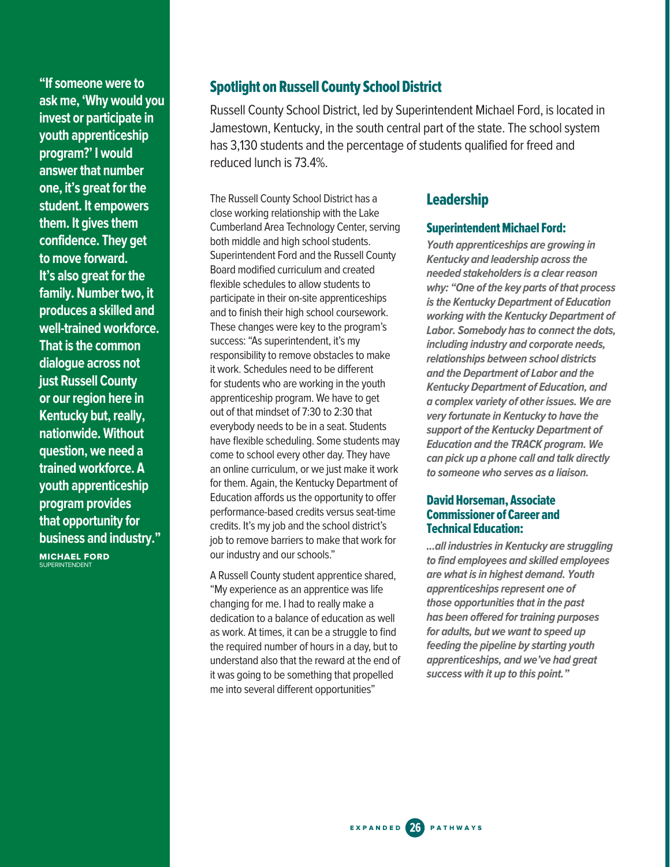**"If someone were to ask me, 'Why would you invest or participate in youth apprenticeship program?' I would answer that number one, it's great for the student. It empowers them. It gives them confidence. They get to move forward. It's also great for the family. Number two, it produces a skilled and well-trained workforce. That is the common dialogue across not just Russell County or our region here in Kentucky but, really, nationwide. Without question, we need a trained workforce. A youth apprenticeship program provides that opportunity for business and industry." MICHAEL FORD**<br>SUPERINTENDENT

Spotlight on Russell County School District

Russell County School District, led by Superintendent Michael Ford, is located in Jamestown, Kentucky, in the south central part of the state. The school system has 3,130 students and the percentage of students qualified for freed and reduced lunch is 73.4%.

The Russell County School District has a close working relationship with the Lake Cumberland Area Technology Center, serving both middle and high school students. Superintendent Ford and the Russell County Board modified curriculum and created flexible schedules to allow students to participate in their on-site apprenticeships and to finish their high school coursework. These changes were key to the program's success: "As superintendent, it's my responsibility to remove obstacles to make it work. Schedules need to be different for students who are working in the youth apprenticeship program. We have to get out of that mindset of 7:30 to 2:30 that everybody needs to be in a seat. Students have flexible scheduling. Some students may come to school every other day. They have an online curriculum, or we just make it work for them. Again, the Kentucky Department of Education affords us the opportunity to offer performance-based credits versus seat-time credits. It's my job and the school district's job to remove barriers to make that work for our industry and our schools."

A Russell County student apprentice shared, "My experience as an apprentice was life changing for me. I had to really make a dedication to a balance of education as well as work. At times, it can be a struggle to find the required number of hours in a day, but to understand also that the reward at the end of it was going to be something that propelled me into several different opportunities"

#### Leadership

#### Superintendent Michael Ford:

**Youth apprenticeships are growing in Kentucky and leadership across the needed stakeholders is a clear reason why: "One of the key parts of that process is the Kentucky Department of Education working with the Kentucky Department of Labor. Somebody has to connect the dots, including industry and corporate needs, relationships between school districts and the Department of Labor and the Kentucky Department of Education, and a complex variety of other issues. We are very fortunate in Kentucky to have the support of the Kentucky Department of Education and the TRACK program. We can pick up a phone call and talk directly to someone who serves as a liaison.** 

#### David Horseman, Associate Commissioner of Career and Technical Education:

**...all industries in Kentucky are struggling to find employees and skilled employees are what is in highest demand. Youth apprenticeships represent one of those opportunities that in the past has been offered for training purposes for adults, but we want to speed up feeding the pipeline by starting youth apprenticeships, and we've had great success with it up to this point."**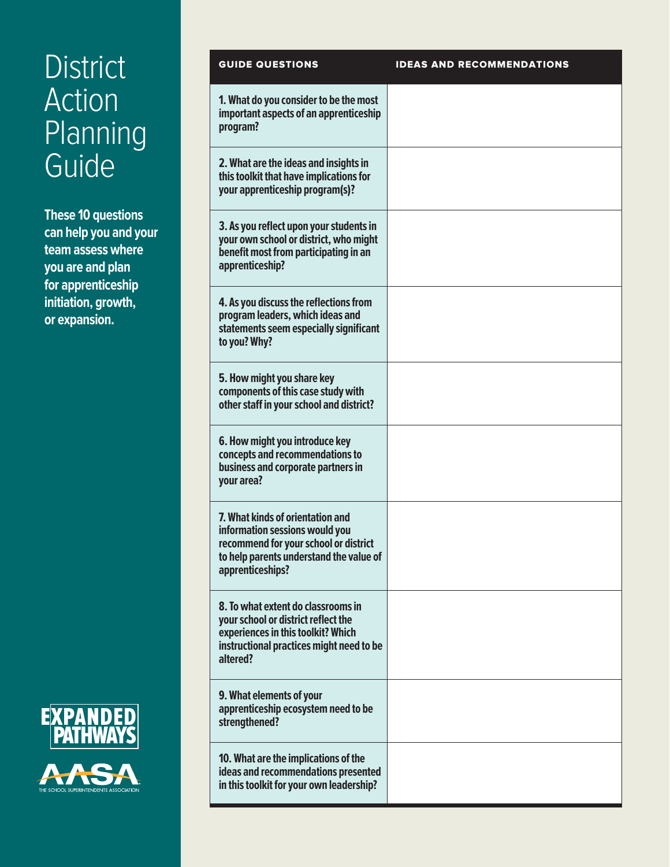# **District** Action Planning Guide

**These 10 questions can help you and your team assess where you are and plan for apprenticeship initiation, growth, or expansion.**

![](_page_28_Picture_2.jpeg)

| <b>GUIDE QUESTIONS</b>                                                                                                                                                     | <b>IDEAS AND RECOMMENDATIONS</b> |
|----------------------------------------------------------------------------------------------------------------------------------------------------------------------------|----------------------------------|
| 1. What do you consider to be the most<br>important aspects of an apprenticeship<br>program?                                                                               |                                  |
| 2. What are the ideas and insights in<br>this toolkit that have implications for<br>your apprenticeship program(s)?                                                        |                                  |
| 3. As you reflect upon your students in<br>your own school or district, who might<br>benefit most from participating in an<br>apprenticeship?                              |                                  |
| 4. As you discuss the reflections from<br>program leaders, which ideas and<br>statements seem especially significant<br>to you? Why?                                       |                                  |
| 5. How might you share key<br>components of this case study with<br>other staff in your school and district?                                                               |                                  |
| 6. How might you introduce key<br>concepts and recommendations to<br>business and corporate partners in<br>your area?                                                      |                                  |
| 7. What kinds of orientation and<br>information sessions would you<br>recommend for your school or district<br>to help parents understand the value of<br>apprenticeships? |                                  |
| 8. To what extent do classrooms in<br>your school or district reflect the<br>experiences in this toolkit? Which<br>instructional practices might need to be<br>altered?    |                                  |
| 9. What elements of your<br>apprenticeship ecosystem need to be<br>strengthened?                                                                                           |                                  |
| 10. What are the implications of the<br>ideas and recommendations presented<br>in this toolkit for your own leadership?                                                    |                                  |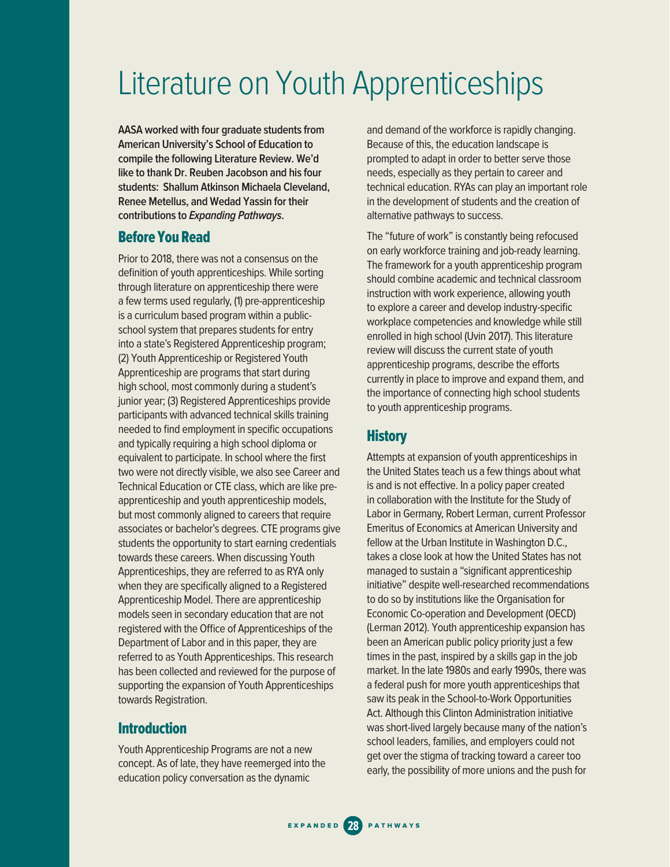# Literature on Youth Apprenticeships

**AASA worked with four graduate students from American University's School of Education to compile the following Literature Review. We'd like to thank Dr. Reuben Jacobson and his four students: Shallum Atkinson Michaela Cleveland, Renee Metellus, and Wedad Yassin for their contributions to Expanding Pathways.** 

### Before You Read

Prior to 2018, there was not a consensus on the definition of youth apprenticeships. While sorting through literature on apprenticeship there were a few terms used regularly, (1) pre-apprenticeship is a curriculum based program within a publicschool system that prepares students for entry into a state's Registered Apprenticeship program; (2) Youth Apprenticeship or Registered Youth Apprenticeship are programs that start during high school, most commonly during a student's junior year; (3) Registered Apprenticeships provide participants with advanced technical skills training needed to find employment in specific occupations and typically requiring a high school diploma or equivalent to participate. In school where the first two were not directly visible, we also see Career and Technical Education or CTE class, which are like preapprenticeship and youth apprenticeship models, but most commonly aligned to careers that require associates or bachelor's degrees. CTE programs give students the opportunity to start earning credentials towards these careers. When discussing Youth Apprenticeships, they are referred to as RYA only when they are specifically aligned to a Registered Apprenticeship Model. There are apprenticeship models seen in secondary education that are not registered with the Office of Apprenticeships of the Department of Labor and in this paper, they are referred to as Youth Apprenticeships. This research has been collected and reviewed for the purpose of supporting the expansion of Youth Apprenticeships towards Registration.

### **Introduction**

Youth Apprenticeship Programs are not a new concept. As of late, they have reemerged into the education policy conversation as the dynamic

and demand of the workforce is rapidly changing. Because of this, the education landscape is prompted to adapt in order to better serve those needs, especially as they pertain to career and technical education. RYAs can play an important role in the development of students and the creation of alternative pathways to success.

The "future of work" is constantly being refocused on early workforce training and job-ready learning. The framework for a youth apprenticeship program should combine academic and technical classroom instruction with work experience, allowing youth to explore a career and develop industry-specific workplace competencies and knowledge while still enrolled in high school (Uvin 2017). This literature review will discuss the current state of youth apprenticeship programs, describe the efforts currently in place to improve and expand them, and the importance of connecting high school students to youth apprenticeship programs.

### **History**

Attempts at expansion of youth apprenticeships in the United States teach us a few things about what is and is not effective. In a policy paper created in collaboration with the Institute for the Study of Labor in Germany, Robert Lerman, current Professor Emeritus of Economics at American University and fellow at the Urban Institute in Washington D.C., takes a close look at how the United States has not managed to sustain a "significant apprenticeship initiative" despite well-researched recommendations to do so by institutions like the Organisation for Economic Co-operation and Development (OECD) (Lerman 2012). Youth apprenticeship expansion has been an American public policy priority just a few times in the past, inspired by a skills gap in the job market. In the late 1980s and early 1990s, there was a federal push for more youth apprenticeships that saw its peak in the School-to-Work Opportunities Act. Although this Clinton Administration initiative was short-lived largely because many of the nation's school leaders, families, and employers could not get over the stigma of tracking toward a career too early, the possibility of more unions and the push for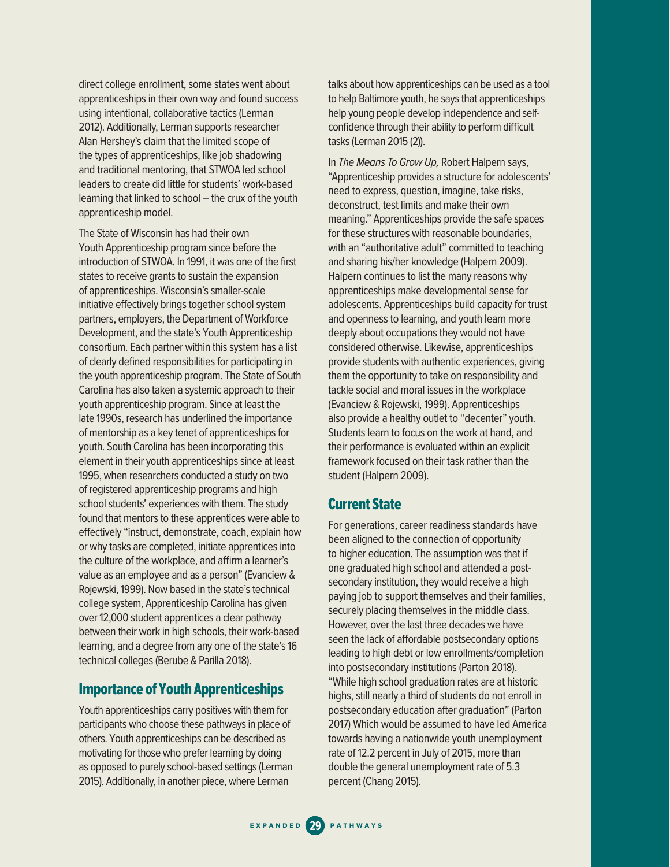direct college enrollment, some states went about apprenticeships in their own way and found success using intentional, collaborative tactics (Lerman 2012). Additionally, Lerman supports researcher Alan Hershey's claim that the limited scope of the types of apprenticeships, like job shadowing and traditional mentoring, that STWOA led school leaders to create did little for students' work-based learning that linked to school – the crux of the youth apprenticeship model.

The State of Wisconsin has had their own Youth Apprenticeship program since before the introduction of STWOA. In 1991, it was one of the first states to receive grants to sustain the expansion of apprenticeships. Wisconsin's smaller-scale initiative effectively brings together school system partners, employers, the Department of Workforce Development, and the state's Youth Apprenticeship consortium. Each partner within this system has a list of clearly defined responsibilities for participating in the youth apprenticeship program. The State of South Carolina has also taken a systemic approach to their youth apprenticeship program. Since at least the late 1990s, research has underlined the importance of mentorship as a key tenet of apprenticeships for youth. South Carolina has been incorporating this element in their youth apprenticeships since at least 1995, when researchers conducted a study on two of registered apprenticeship programs and high school students' experiences with them. The study found that mentors to these apprentices were able to effectively "instruct, demonstrate, coach, explain how or why tasks are completed, initiate apprentices into the culture of the workplace, and affirm a learner's value as an employee and as a person" (Evanciew & Rojewski, 1999). Now based in the state's technical college system, Apprenticeship Carolina has given over 12,000 student apprentices a clear pathway between their work in high schools, their work-based learning, and a degree from any one of the state's 16 technical colleges (Berube & Parilla 2018).

#### Importance of Youth Apprenticeships

Youth apprenticeships carry positives with them for participants who choose these pathways in place of others. Youth apprenticeships can be described as motivating for those who prefer learning by doing as opposed to purely school-based settings (Lerman 2015). Additionally, in another piece, where Lerman

talks about how apprenticeships can be used as a tool to help Baltimore youth, he says that apprenticeships help young people develop independence and selfconfidence through their ability to perform difficult tasks (Lerman 2015 (2)).

In The Means To Grow Up, Robert Halpern says, "Apprenticeship provides a structure for adolescents' need to express, question, imagine, take risks, deconstruct, test limits and make their own meaning." Apprenticeships provide the safe spaces for these structures with reasonable boundaries, with an "authoritative adult" committed to teaching and sharing his/her knowledge (Halpern 2009). Halpern continues to list the many reasons why apprenticeships make developmental sense for adolescents. Apprenticeships build capacity for trust and openness to learning, and youth learn more deeply about occupations they would not have considered otherwise. Likewise, apprenticeships provide students with authentic experiences, giving them the opportunity to take on responsibility and tackle social and moral issues in the workplace (Evanciew & Rojewski, 1999). Apprenticeships also provide a healthy outlet to "decenter" youth. Students learn to focus on the work at hand, and their performance is evaluated within an explicit framework focused on their task rather than the student (Halpern 2009).

#### Current State

For generations, career readiness standards have been aligned to the connection of opportunity to higher education. The assumption was that if one graduated high school and attended a postsecondary institution, they would receive a high paying job to support themselves and their families, securely placing themselves in the middle class. However, over the last three decades we have seen the lack of affordable postsecondary options leading to high debt or low enrollments/completion into postsecondary institutions (Parton 2018). "While high school graduation rates are at historic highs, still nearly a third of students do not enroll in postsecondary education after graduation" (Parton 2017) Which would be assumed to have led America towards having a nationwide youth unemployment rate of 12.2 percent in July of 2015, more than double the general unemployment rate of 5.3 percent (Chang 2015).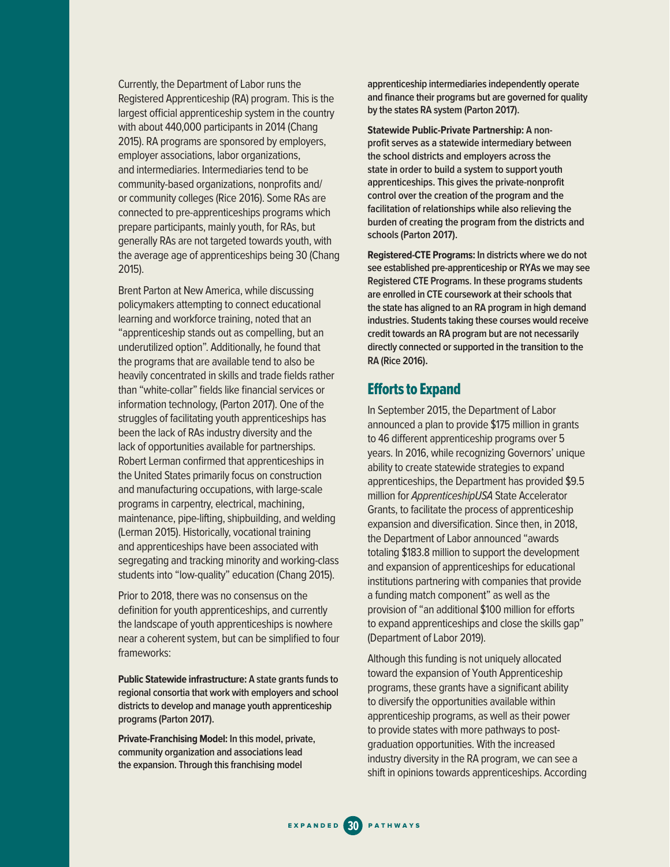Currently, the Department of Labor runs the Registered Apprenticeship (RA) program. This is the largest official apprenticeship system in the country with about 440,000 participants in 2014 (Chang 2015). RA programs are sponsored by employers, employer associations, labor organizations, and intermediaries. Intermediaries tend to be community-based organizations, nonprofits and/ or community colleges (Rice 2016). Some RAs are connected to pre-apprenticeships programs which prepare participants, mainly youth, for RAs, but generally RAs are not targeted towards youth, with the average age of apprenticeships being 30 (Chang 2015).

Brent Parton at New America, while discussing policymakers attempting to connect educational learning and workforce training, noted that an "apprenticeship stands out as compelling, but an underutilized option". Additionally, he found that the programs that are available tend to also be heavily concentrated in skills and trade fields rather than "white-collar" fields like financial services or information technology, (Parton 2017). One of the struggles of facilitating youth apprenticeships has been the lack of RAs industry diversity and the lack of opportunities available for partnerships. Robert Lerman confirmed that apprenticeships in the United States primarily focus on construction and manufacturing occupations, with large-scale programs in carpentry, electrical, machining, maintenance, pipe-lifting, shipbuilding, and welding (Lerman 2015). Historically, vocational training and apprenticeships have been associated with segregating and tracking minority and working-class students into "low-quality" education (Chang 2015).

Prior to 2018, there was no consensus on the definition for youth apprenticeships, and currently the landscape of youth apprenticeships is nowhere near a coherent system, but can be simplified to four frameworks:

**Public Statewide infrastructure: A state grants funds to regional consortia that work with employers and school districts to develop and manage youth apprenticeship programs (Parton 2017).**

**Private-Franchising Model: In this model, private, community organization and associations lead the expansion. Through this franchising model** 

**apprenticeship intermediaries independently operate and finance their programs but are governed for quality by the states RA system (Parton 2017).** 

**Statewide Public-Private Partnership: A nonprofit serves as a statewide intermediary between the school districts and employers across the state in order to build a system to support youth apprenticeships. This gives the private-nonprofit control over the creation of the program and the facilitation of relationships while also relieving the burden of creating the program from the districts and schools (Parton 2017).**

**Registered-CTE Programs: In districts where we do not see established pre-apprenticeship or RYAs we may see Registered CTE Programs. In these programs students are enrolled in CTE coursework at their schools that the state has aligned to an RA program in high demand industries. Students taking these courses would receive credit towards an RA program but are not necessarily directly connected or supported in the transition to the RA (Rice 2016).**

#### Efforts to Expand

In September 2015, the Department of Labor announced a plan to provide \$175 million in grants to 46 different apprenticeship programs over 5 years. In 2016, while recognizing Governors' unique ability to create statewide strategies to expand apprenticeships, the Department has provided \$9.5 million for ApprenticeshipUSA State Accelerator Grants, to facilitate the process of apprenticeship expansion and diversification. Since then, in 2018, the Department of Labor announced "awards totaling \$183.8 million to support the development and expansion of apprenticeships for educational institutions partnering with companies that provide a funding match component" as well as the provision of "an additional \$100 million for efforts to expand apprenticeships and close the skills gap" (Department of Labor 2019).

Although this funding is not uniquely allocated toward the expansion of Youth Apprenticeship programs, these grants have a significant ability to diversify the opportunities available within apprenticeship programs, as well as their power to provide states with more pathways to postgraduation opportunities. With the increased industry diversity in the RA program, we can see a shift in opinions towards apprenticeships. According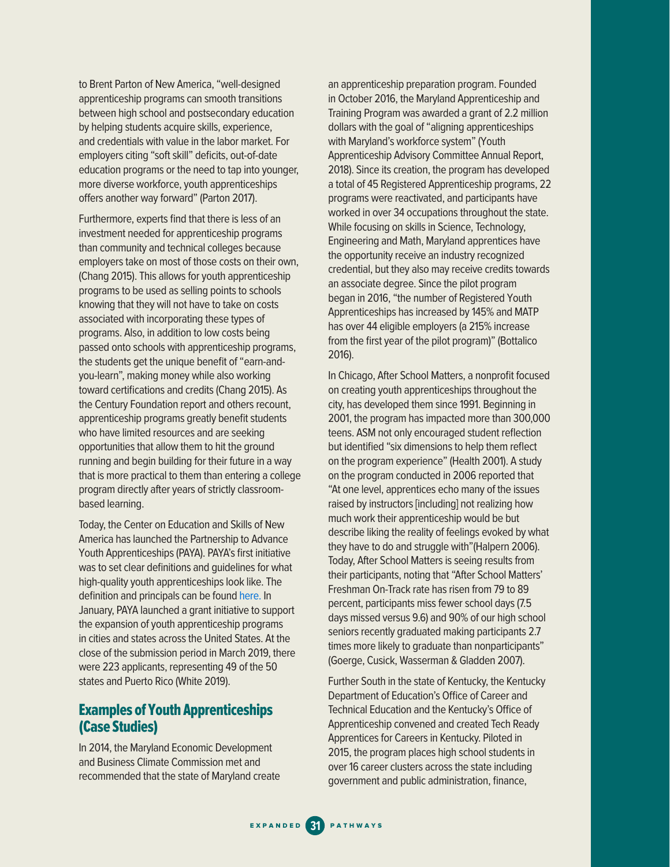to Brent Parton of New America, "well-designed apprenticeship programs can smooth transitions between high school and postsecondary education by helping students acquire skills, experience, and credentials with value in the labor market. For employers citing "soft skill" deficits, out-of-date education programs or the need to tap into younger, more diverse workforce, youth apprenticeships offers another way forward" (Parton 2017).

Furthermore, experts find that there is less of an investment needed for apprenticeship programs than community and technical colleges because employers take on most of those costs on their own, (Chang 2015). This allows for youth apprenticeship programs to be used as selling points to schools knowing that they will not have to take on costs associated with incorporating these types of programs. Also, in addition to low costs being passed onto schools with apprenticeship programs, the students get the unique benefit of "earn-andyou-learn", making money while also working toward certifications and credits (Chang 2015). As the Century Foundation report and others recount, apprenticeship programs greatly benefit students who have limited resources and are seeking opportunities that allow them to hit the ground running and begin building for their future in a way that is more practical to them than entering a college program directly after years of strictly classroombased learning.

Today, the Center on Education and Skills of New America has launched the Partnership to Advance Youth Apprenticeships (PAYA). PAYA's first initiative was to set clear definitions and guidelines for what high-quality youth apprenticeships look like. The definition and principals can be found [here.](https://www.newamerica.org/education-policy/partnership-advance-youth-apprenticeship/about/) In January, PAYA launched a grant initiative to support the expansion of youth apprenticeship programs in cities and states across the United States. At the close of the submission period in March 2019, there were 223 applicants, representing 49 of the 50 states and Puerto Rico (White 2019).

### Examples of Youth Apprenticeships (Case Studies)

In 2014, the Maryland Economic Development and Business Climate Commission met and recommended that the state of Maryland create an apprenticeship preparation program. Founded in October 2016, the Maryland Apprenticeship and Training Program was awarded a grant of 2.2 million dollars with the goal of "aligning apprenticeships with Maryland's workforce system" (Youth Apprenticeship Advisory Committee Annual Report, 2018). Since its creation, the program has developed a total of 45 Registered Apprenticeship programs, 22 programs were reactivated, and participants have worked in over 34 occupations throughout the state. While focusing on skills in Science, Technology, Engineering and Math, Maryland apprentices have the opportunity receive an industry recognized credential, but they also may receive credits towards an associate degree. Since the pilot program began in 2016, "the number of Registered Youth Apprenticeships has increased by 145% and MATP has over 44 eligible employers (a 215% increase from the first year of the pilot program)" (Bottalico 2016).

In Chicago, After School Matters, a nonprofit focused on creating youth apprenticeships throughout the city, has developed them since 1991. Beginning in 2001, the program has impacted more than 300,000 teens. ASM not only encouraged student reflection but identified "six dimensions to help them reflect on the program experience" (Health 2001). A study on the program conducted in 2006 reported that "At one level, apprentices echo many of the issues raised by instructors [including] not realizing how much work their apprenticeship would be but describe liking the reality of feelings evoked by what they have to do and struggle with"(Halpern 2006). Today, After School Matters is seeing results from their participants, noting that "After School Matters' Freshman On-Track rate has risen from 79 to 89 percent, participants miss fewer school days (7.5 days missed versus 9.6) and 90% of our high school seniors recently graduated making participants 2.7 times more likely to graduate than nonparticipants" (Goerge, Cusick, Wasserman & Gladden 2007).

Further South in the state of Kentucky, the Kentucky Department of Education's Office of Career and Technical Education and the Kentucky's Office of Apprenticeship convened and created Tech Ready Apprentices for Careers in Kentucky. Piloted in 2015, the program places high school students in over 16 career clusters across the state including government and public administration, finance,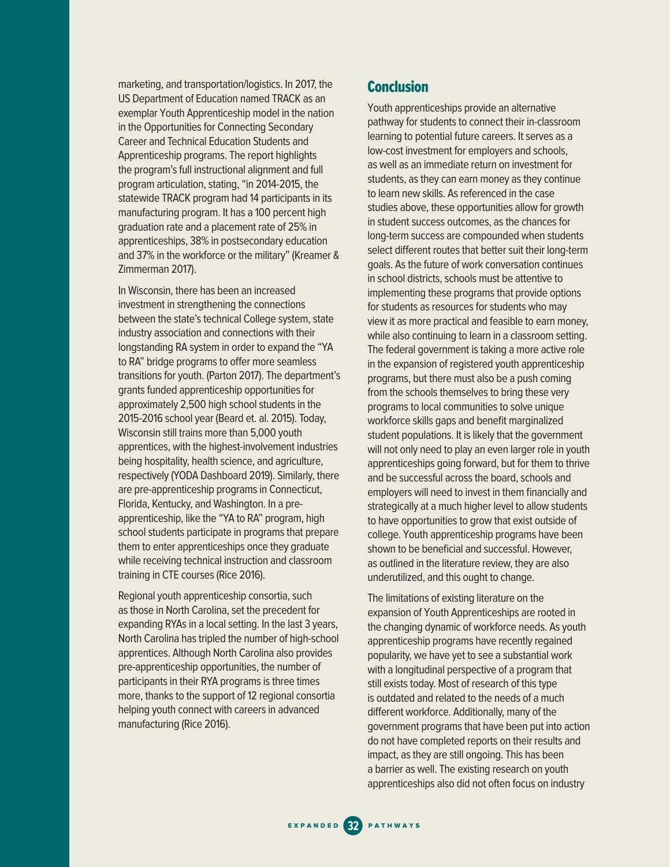marketing, and transportation/logistics. In 2017, the US Department of Education named TRACK as an exemplar Youth Apprenticeship model in the nation in the Opportunities for Connecting Secondary Career and Technical Education Students and Apprenticeship programs. The report highlights the program's full instructional alignment and full program articulation, stating, "in 2014-2015, the statewide TRACK program had 14 participants in its manufacturing program. It has a 100 percent high graduation rate and a placement rate of 25% in apprenticeships, 38% in postsecondary education and 37% in the workforce or the military" (Kreamer & Zimmerman 2017).

In Wisconsin, there has been an increased investment in strengthening the connections between the state's technical College system, state industry association and connections with their longstanding RA system in order to expand the "YA to RA" bridge programs to offer more seamless transitions for youth. (Parton 2017). The department's grants funded apprenticeship opportunities for approximately 2,500 high school students in the 2015-2016 school year (Beard et. al. 2015). Today, Wisconsin still trains more than 5,000 youth apprentices, with the highest-involvement industries being hospitality, health science, and agriculture, respectively (YODA Dashboard 2019). Similarly, there are pre-apprenticeship programs in Connecticut, Florida, Kentucky, and Washington. In a preapprenticeship, like the "YA to RA" program, high school students participate in programs that prepare them to enter apprenticeships once they graduate while receiving technical instruction and classroom training in CTE courses (Rice 2016).

Regional youth apprenticeship consortia, such as those in North Carolina, set the precedent for expanding RYAs in a local setting. In the last 3 years, North Carolina has tripled the number of high-school apprentices. Although North Carolina also provides pre-apprenticeship opportunities, the number of participants in their RYA programs is three times more, thanks to the support of 12 regional consortia helping youth connect with careers in advanced manufacturing (Rice 2016).

### **Conclusion**

Youth apprenticeships provide an alternative pathway for students to connect their in-classroom learning to potential future careers. It serves as a low-cost investment for employers and schools, as well as an immediate return on investment for students, as they can earn money as they continue to learn new skills. As referenced in the case studies above, these opportunities allow for growth in student success outcomes, as the chances for long-term success are compounded when students select different routes that better suit their long-term goals. As the future of work conversation continues in school districts, schools must be attentive to implementing these programs that provide options for students as resources for students who may view it as more practical and feasible to earn money, while also continuing to learn in a classroom setting. The federal government is taking a more active role in the expansion of registered youth apprenticeship programs, but there must also be a push coming from the schools themselves to bring these very programs to local communities to solve unique workforce skills gaps and benefit marginalized student populations. It is likely that the government will not only need to play an even larger role in youth apprenticeships going forward, but for them to thrive and be successful across the board, schools and employers will need to invest in them financially and strategically at a much higher level to allow students to have opportunities to grow that exist outside of college. Youth apprenticeship programs have been shown to be beneficial and successful. However, as outlined in the literature review, they are also underutilized, and this ought to change.

The limitations of existing literature on the expansion of Youth Apprenticeships are rooted in the changing dynamic of workforce needs. As youth apprenticeship programs have recently regained popularity, we have yet to see a substantial work with a longitudinal perspective of a program that still exists today. Most of research of this type is outdated and related to the needs of a much different workforce. Additionally, many of the government programs that have been put into action do not have completed reports on their results and impact, as they are still ongoing. This has been a barrier as well. The existing research on youth apprenticeships also did not often focus on industry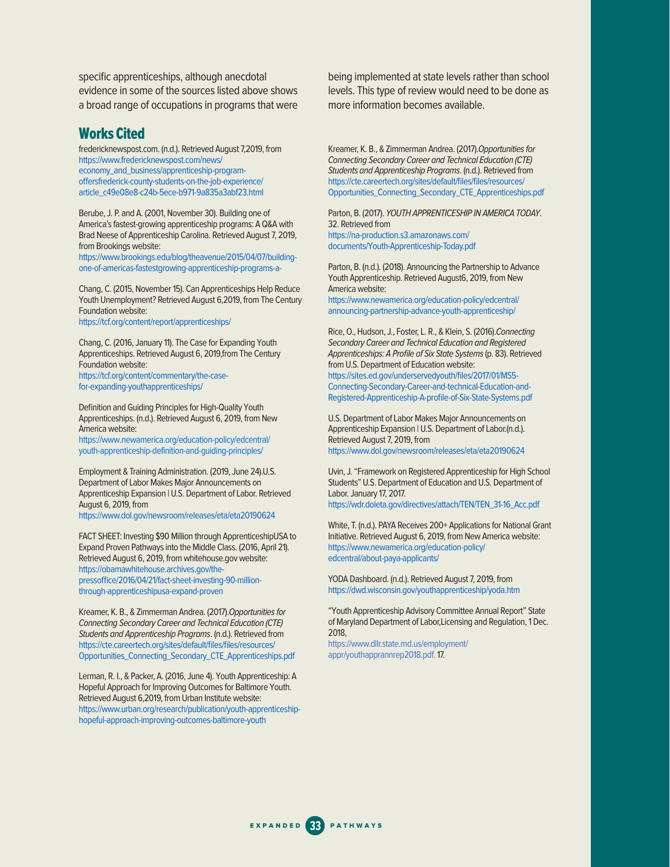specific apprenticeships, although anecdotal evidence in some of the sources listed above shows a broad range of occupations in programs that were

#### Works Cited

[fredericknewspost.com](http://fredericknewspost.com). (n.d.). Retrieved August 7,2019, from [https://www.fredericknewspost.com/news/](https://www.fredericknewspost.com/news/economy_and_business/apprenticeship-program-offersfrederick-county-students-on-the-job-experience/article_c49e08e8-c24b-5ece-b971-9a835a3abf23.html) [economy\\_and\\_business/apprenticeship-program](https://www.fredericknewspost.com/news/economy_and_business/apprenticeship-program-offersfrederick-county-students-on-the-job-experience/article_c49e08e8-c24b-5ece-b971-9a835a3abf23.html)[offersfrederick-county-students-on-the-job-experience/](https://www.fredericknewspost.com/news/economy_and_business/apprenticeship-program-offersfrederick-county-students-on-the-job-experience/article_c49e08e8-c24b-5ece-b971-9a835a3abf23.html) [article\\_c49e08e8-c24b-5ece-b971-9a835a3abf23.html](https://www.fredericknewspost.com/news/economy_and_business/apprenticeship-program-offersfrederick-county-students-on-the-job-experience/article_c49e08e8-c24b-5ece-b971-9a835a3abf23.html)

Berube, J. P. and A. (2001, November 30). Building one of America's fastest-growing apprenticeship programs: A Q&A with Brad Neese of Apprenticeship Carolina. Retrieved August 7, 2019, from Brookings website:

[https://www.brookings.edu/blog/theavenue/2015/04/07/building](https://www.brookings.edu/blog/theavenue/2015/04/07/building-one-of-americas-fastestgrowing-apprenticeship-programs-a-)[one-of-americas-fastestgrowing-apprenticeship-programs-a-](https://www.brookings.edu/blog/theavenue/2015/04/07/building-one-of-americas-fastestgrowing-apprenticeship-programs-a-)

Chang, C. (2015, November 15). Can Apprenticeships Help Reduce Youth Unemployment? Retrieved August 6,2019, from The Century Foundation website:

<https://tcf.org/content/report/apprenticeships/>

Chang, C. (2016, January 11). The Case for Expanding Youth Apprenticeships. Retrieved August 6, 2019,from The Century Foundation website: [https://tcf.org/content/commentary/the-case](https://tcf.org/content/commentary/the-case-for-expanding-youthapprenticeships/)[for-expanding-youthapprenticeships/](https://tcf.org/content/commentary/the-case-for-expanding-youthapprenticeships/)

Definition and Guiding Principles for High-Quality Youth Apprenticeships. (n.d.). Retrieved August 6, 2019, from New America website:

[https://www.newamerica.org/education-policy/edcentral/](https://www.newamerica.org/education-policy/edcentral/youth-apprenticeship-definition-and-guiding-principles) [youth-apprenticeship-definition-and-guiding-principles/](https://www.newamerica.org/education-policy/edcentral/youth-apprenticeship-definition-and-guiding-principles)

Employment & Training Administration. (2019, June 24).U.S. Department of Labor Makes Major Announcements on Apprenticeship Expansion | U.S. Department of Labor. Retrieved August 6, 2019, from

<https://www.dol.gov/newsroom/releases/eta/eta20190624>

FACT SHEET: Investing \$90 Million through ApprenticeshipUSA to Expand Proven Pathways into the Middle Class. (2016, April 21). Retrieved August 6, 2019, from [whitehouse.gov](http://whitehouse.gov) website: [https://obamawhitehouse.archives.gov/the](https://obamawhitehouse.archives.gov/the-pressoffice/2016/04/21/fact-sheet-investing-90-million-through-apprenticeshipusa-expand-proven)[pressoffice/2016/04/21/fact-sheet-investing-90-million](https://obamawhitehouse.archives.gov/the-pressoffice/2016/04/21/fact-sheet-investing-90-million-through-apprenticeshipusa-expand-proven)[through-apprenticeshipusa-expand-proven](https://obamawhitehouse.archives.gov/the-pressoffice/2016/04/21/fact-sheet-investing-90-million-through-apprenticeshipusa-expand-proven)

Kreamer, K. B., & Zimmerman Andrea. (2017).Opportunities for Connecting Secondary Career and Technical Education (CTE) Students and Apprenticeship Programs. (n.d.). Retrieved from [https://cte.careertech.org/sites/default/files/files/resources/](https://cte.careertech.org/sites/default/files/files/resources/Opportunities_Connecting_Secondary_CTE_Apprenticeships.pdf) [Opportunities\\_Connecting\\_Secondary\\_CTE\\_Apprenticeships.pdf](https://cte.careertech.org/sites/default/files/files/resources/Opportunities_Connecting_Secondary_CTE_Apprenticeships.pdf)

Lerman, R. I., & Packer, A. (2016, June 4). Youth Apprenticeship: A Hopeful Approach for Improving Outcomes for Baltimore Youth. Retrieved August 6,2019, from Urban Institute website: [https://www.urban.org/research/publication/youth-apprenticeship](https://www.urban.org/research/publication/youth-apprenticeship-hopeful-approach-improving-outcomes-baltimore-youth)[hopeful-approach-improving-outcomes-baltimore-youth](https://www.urban.org/research/publication/youth-apprenticeship-hopeful-approach-improving-outcomes-baltimore-youth)

being implemented at state levels rather than school levels. This type of review would need to be done as more information becomes available.

Kreamer, K. B., & Zimmerman Andrea. (2017).Opportunities for Connecting Secondary Career and Technical Education (CTE) Students and Apprenticeship Programs. (n.d.). Retrieved from [https://cte.careertech.org/sites/default/files/files/resources/](https://cte.careertech.org/sites/default/files/files/resources/Opportunities_Connecting_Secondary_CTE_Apprenticeships.pdf) [Opportunities\\_Connecting\\_Secondary\\_CTE\\_Apprenticeships.pdf](https://cte.careertech.org/sites/default/files/files/resources/Opportunities_Connecting_Secondary_CTE_Apprenticeships.pdf)

Parton, B. (2017). YOUTH APPRENTICESHIP IN AMERICA TODAY. 32. Retrieved from [https://na-production.s3.amazonaws.com/](https://na-production.s3.amazonaws.com/documents/Youth-Apprenticeship-Today.pdf) [documents/Youth-Apprenticeship-Today.pdf](https://na-production.s3.amazonaws.com/documents/Youth-Apprenticeship-Today.pdf)

Parton, B. (n.d.). (2018). Announcing the Partnership to Advance Youth Apprenticeship. Retrieved August6, 2019, from New America website:

[https://www.newamerica.org/education-policy/edcentral/](https://www.newamerica.org/education-policy/edcentral/announcing-partnership-advance-youth-apprenticeship/) [announcing-partnership-advance-youth-apprenticeship/](https://www.newamerica.org/education-policy/edcentral/announcing-partnership-advance-youth-apprenticeship/)

Rice, O., Hudson, J., Foster, L. R., & Klein, S. (2016).Connecting Secondary Career and Technical Education and Registered Apprenticeships: A Profile of Six State Systems (p. 83). Retrieved from U.S. Department of Education website: [https://sites.ed.gov/underservedyouth/files/2017/01/MS5-](https://sites.ed.gov/underservedyouth/files/2017/01/MS5-Connecting-Secondary-Career-and-technical-Education-and-Registered-Apprenticeship-A-profile-of-Six-State-Systems.pdf) [Connecting-Secondary-Career-and-technical-Education-and-](https://sites.ed.gov/underservedyouth/files/2017/01/MS5-Connecting-Secondary-Career-and-technical-Education-and-Registered-Apprenticeship-A-profile-of-Six-State-Systems.pdf)[Registered-Apprenticeship-A-profile-of-Six-State-Systems.pdf](https://sites.ed.gov/underservedyouth/files/2017/01/MS5-Connecting-Secondary-Career-and-technical-Education-and-Registered-Apprenticeship-A-profile-of-Six-State-Systems.pdf)

U.S. Department of Labor Makes Major Announcements on Apprenticeship Expansion | U.S. Department of Labor.(n.d.). Retrieved August 7, 2019, from <https://www.dol.gov/newsroom/releases/eta/eta20190624>

Uvin, J. "Framework on Registered Apprenticeship for High School Students" U.S. Department of Education and U.S. Department of Labor. January 17, 2017.

[https://wdr.doleta.gov/directives/attach/TEN/TEN\\_31-16\\_Acc.pdf](https://wdr.doleta.gov/directives/attach/TEN/TEN_31-16_Acc.pdf)

White, T. (n.d.). PAYA Receives 200+ Applications for National Grant Initiative. Retrieved August 6, 2019, from New America website: [https://www.newamerica.org/education-policy/](https://www.newamerica.org/education-policy/edcentral/about-paya-applicants) [edcentral/about-paya-applicants/](https://www.newamerica.org/education-policy/edcentral/about-paya-applicants)

YODA Dashboard. (n.d.). Retrieved August 7, 2019, from <https://dwd.wisconsin.gov/youthapprenticeship/yoda.htm>

"Youth Apprenticeship Advisory Committee Annual Report" State of Maryland Department of Labor,Licensing and Regulation, 1 Dec. 2018,

[https://www.dllr.state.md.us/employment/](https://www.dllr.state.md.us/employment/appr/youthapprannrep2018.pdf) [appr/youthapprannrep2018.pdf](https://www.dllr.state.md.us/employment/appr/youthapprannrep2018.pdf). 17.